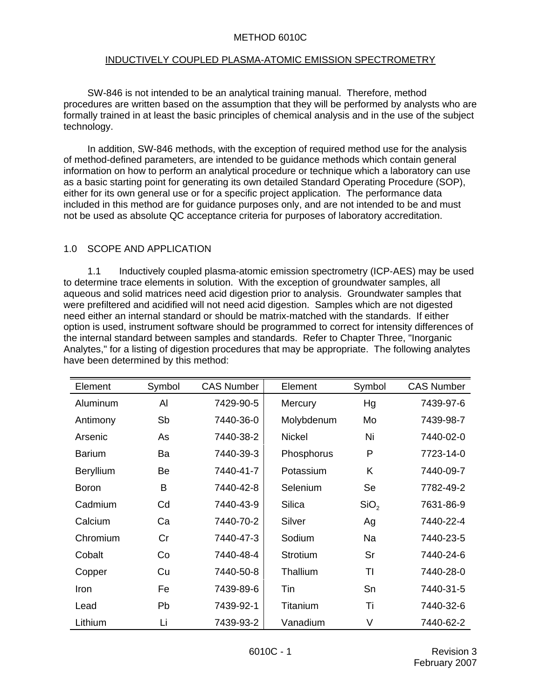#### METHOD 6010C

#### INDUCTIVELY COUPLED PLASMA-ATOMIC EMISSION SPECTROMETRY

SW-846 is not intended to be an analytical training manual. Therefore, method procedures are written based on the assumption that they will be performed by analysts who are formally trained in at least the basic principles of chemical analysis and in the use of the subject technology.

In addition, SW-846 methods, with the exception of required method use for the analysis of method-defined parameters, are intended to be guidance methods which contain general information on how to perform an analytical procedure or technique which a laboratory can use as a basic starting point for generating its own detailed Standard Operating Procedure (SOP), either for its own general use or for a specific project application. The performance data included in this method are for guidance purposes only, and are not intended to be and must not be used as absolute QC acceptance criteria for purposes of laboratory accreditation.

#### 1.0 SCOPE AND APPLICATION

1.1 Inductively coupled plasma-atomic emission spectrometry (ICP-AES) may be used to determine trace elements in solution. With the exception of groundwater samples, all aqueous and solid matrices need acid digestion prior to analysis. Groundwater samples that were prefiltered and acidified will not need acid digestion. Samples which are not digested need either an internal standard or should be matrix-matched with the standards. If either option is used, instrument software should be programmed to correct for intensity differences of the internal standard between samples and standards. Refer to Chapter Three, "Inorganic Analytes," for a listing of digestion procedures that may be appropriate. The following analytes have been determined by this method:

| Element          | Symbol | <b>CAS Number</b> | Element       | Symbol           | <b>CAS Number</b> |
|------------------|--------|-------------------|---------------|------------------|-------------------|
| Aluminum         | Al     | 7429-90-5         | Mercury       | Hg               | 7439-97-6         |
| Antimony         | Sb     | 7440-36-0         | Molybdenum    | Mo               | 7439-98-7         |
| Arsenic          | As     | 7440-38-2         | <b>Nickel</b> | Ni               | 7440-02-0         |
| <b>Barium</b>    | Ba     | 7440-39-3         | Phosphorus    | P                | 7723-14-0         |
| <b>Beryllium</b> | Be     | 7440-41-7         | Potassium     | K                | 7440-09-7         |
| <b>Boron</b>     | B      | 7440-42-8         | Selenium      | Se               | 7782-49-2         |
| Cadmium          | Cd     | 7440-43-9         | <b>Silica</b> | SiO <sub>2</sub> | 7631-86-9         |
| Calcium          | Ca     | 7440-70-2         | Silver        | Ag               | 7440-22-4         |
| Chromium         | Cr     | 7440-47-3         | Sodium        | Na               | 7440-23-5         |
| Cobalt           | Co     | 7440-48-4         | Strotium      | Sr               | 7440-24-6         |
| Copper           | Cu     | 7440-50-8         | Thallium      | TI               | 7440-28-0         |
| Iron             | Fe     | 7439-89-6         | Tin           | Sn               | 7440-31-5         |
| Lead             | Pb     | 7439-92-1         | Titanium      | Τi               | 7440-32-6         |
| Lithium          | Li     | 7439-93-2         | Vanadium      | V                | 7440-62-2         |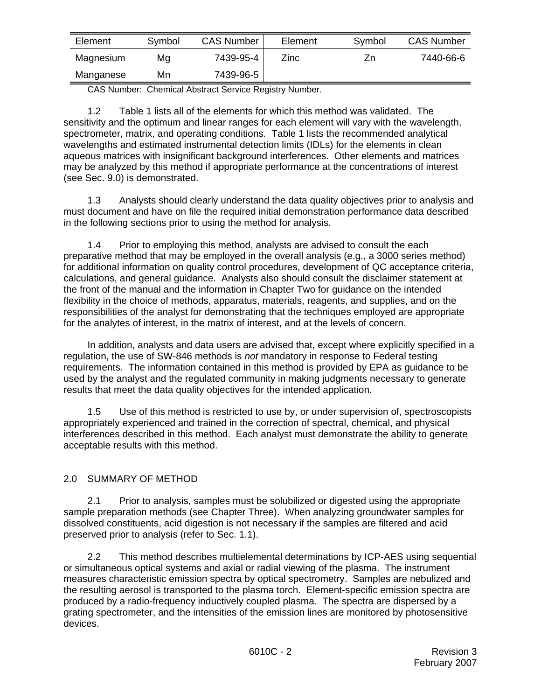| Element   | Symbol | <b>CAS Number</b> | Element | Symbol | <b>CAS Number</b> |
|-----------|--------|-------------------|---------|--------|-------------------|
| Magnesium | Mg     | 7439-95-4         | Zinc    | ∠n     | 7440-66-6         |
| Manganese | Mn     | 7439-96-5         |         |        |                   |

CAS Number: Chemical Abstract Service Registry Number.

1.2 Table 1 lists all of the elements for which this method was validated. The sensitivity and the optimum and linear ranges for each element will vary with the wavelength, spectrometer, matrix, and operating conditions. Table 1 lists the recommended analytical wavelengths and estimated instrumental detection limits (IDLs) for the elements in clean aqueous matrices with insignificant background interferences. Other elements and matrices may be analyzed by this method if appropriate performance at the concentrations of interest (see Sec. 9.0) is demonstrated.

1.3 Analysts should clearly understand the data quality objectives prior to analysis and must document and have on file the required initial demonstration performance data described in the following sections prior to using the method for analysis.

1.4 Prior to employing this method, analysts are advised to consult the each preparative method that may be employed in the overall analysis (e.g., a 3000 series method) for additional information on quality control procedures, development of QC acceptance criteria, calculations, and general guidance. Analysts also should consult the disclaimer statement at the front of the manual and the information in Chapter Two for guidance on the intended flexibility in the choice of methods, apparatus, materials, reagents, and supplies, and on the responsibilities of the analyst for demonstrating that the techniques employed are appropriate for the analytes of interest, in the matrix of interest, and at the levels of concern.

In addition, analysts and data users are advised that, except where explicitly specified in a regulation, the use of SW-846 methods is *not* mandatory in response to Federal testing requirements. The information contained in this method is provided by EPA as guidance to be used by the analyst and the regulated community in making judgments necessary to generate results that meet the data quality objectives for the intended application.

1.5 Use of this method is restricted to use by, or under supervision of, spectroscopists appropriately experienced and trained in the correction of spectral, chemical, and physical interferences described in this method. Each analyst must demonstrate the ability to generate acceptable results with this method.

# 2.0 SUMMARY OF METHOD

2.1 Prior to analysis, samples must be solubilized or digested using the appropriate sample preparation methods (see Chapter Three). When analyzing groundwater samples for dissolved constituents, acid digestion is not necessary if the samples are filtered and acid preserved prior to analysis (refer to Sec. 1.1).

2.2 This method describes multielemental determinations by ICP-AES using sequential or simultaneous optical systems and axial or radial viewing of the plasma. The instrument measures characteristic emission spectra by optical spectrometry. Samples are nebulized and the resulting aerosol is transported to the plasma torch. Element-specific emission spectra are produced by a radio-frequency inductively coupled plasma. The spectra are dispersed by a grating spectrometer, and the intensities of the emission lines are monitored by photosensitive devices.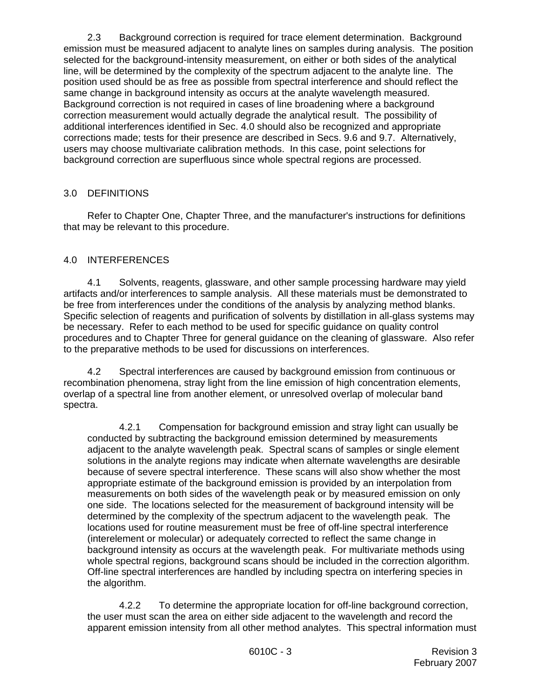2.3 Background correction is required for trace element determination. Background emission must be measured adjacent to analyte lines on samples during analysis. The position selected for the background-intensity measurement, on either or both sides of the analytical line, will be determined by the complexity of the spectrum adjacent to the analyte line. The position used should be as free as possible from spectral interference and should reflect the same change in background intensity as occurs at the analyte wavelength measured. Background correction is not required in cases of line broadening where a background correction measurement would actually degrade the analytical result. The possibility of additional interferences identified in Sec. 4.0 should also be recognized and appropriate corrections made; tests for their presence are described in Secs. 9.6 and 9.7. Alternatively, users may choose multivariate calibration methods. In this case, point selections for background correction are superfluous since whole spectral regions are processed.

## 3.0 DEFINITIONS

Refer to Chapter One, Chapter Three, and the manufacturer's instructions for definitions that may be relevant to this procedure.

## 4.0 INTERFERENCES

4.1 Solvents, reagents, glassware, and other sample processing hardware may yield artifacts and/or interferences to sample analysis. All these materials must be demonstrated to be free from interferences under the conditions of the analysis by analyzing method blanks. Specific selection of reagents and purification of solvents by distillation in all-glass systems may be necessary. Refer to each method to be used for specific guidance on quality control procedures and to Chapter Three for general guidance on the cleaning of glassware. Also refer to the preparative methods to be used for discussions on interferences.

4.2 Spectral interferences are caused by background emission from continuous or recombination phenomena, stray light from the line emission of high concentration elements, overlap of a spectral line from another element, or unresolved overlap of molecular band spectra.

4.2.1 Compensation for background emission and stray light can usually be conducted by subtracting the background emission determined by measurements adjacent to the analyte wavelength peak. Spectral scans of samples or single element solutions in the analyte regions may indicate when alternate wavelengths are desirable because of severe spectral interference. These scans will also show whether the most appropriate estimate of the background emission is provided by an interpolation from measurements on both sides of the wavelength peak or by measured emission on only one side. The locations selected for the measurement of background intensity will be determined by the complexity of the spectrum adjacent to the wavelength peak. The locations used for routine measurement must be free of off-line spectral interference (interelement or molecular) or adequately corrected to reflect the same change in background intensity as occurs at the wavelength peak. For multivariate methods using whole spectral regions, background scans should be included in the correction algorithm. Off-line spectral interferences are handled by including spectra on interfering species in the algorithm.

4.2.2 To determine the appropriate location for off-line background correction, the user must scan the area on either side adjacent to the wavelength and record the apparent emission intensity from all other method analytes. This spectral information must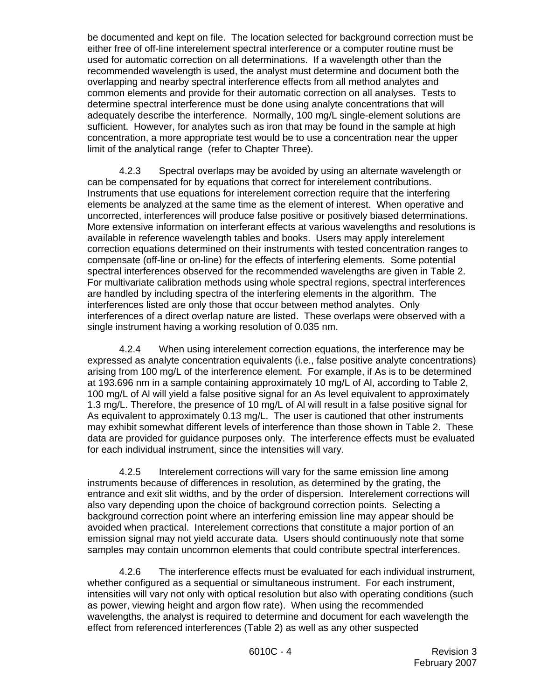be documented and kept on file. The location selected for background correction must be either free of off-line interelement spectral interference or a computer routine must be used for automatic correction on all determinations. If a wavelength other than the recommended wavelength is used, the analyst must determine and document both the overlapping and nearby spectral interference effects from all method analytes and common elements and provide for their automatic correction on all analyses. Tests to determine spectral interference must be done using analyte concentrations that will adequately describe the interference. Normally, 100 mg/L single-element solutions are sufficient. However, for analytes such as iron that may be found in the sample at high concentration, a more appropriate test would be to use a concentration near the upper limit of the analytical range (refer to Chapter Three).

4.2.3 Spectral overlaps may be avoided by using an alternate wavelength or can be compensated for by equations that correct for interelement contributions. Instruments that use equations for interelement correction require that the interfering elements be analyzed at the same time as the element of interest. When operative and uncorrected, interferences will produce false positive or positively biased determinations. More extensive information on interferant effects at various wavelengths and resolutions is available in reference wavelength tables and books. Users may apply interelement correction equations determined on their instruments with tested concentration ranges to compensate (off-line or on-line) for the effects of interfering elements. Some potential spectral interferences observed for the recommended wavelengths are given in Table 2. For multivariate calibration methods using whole spectral regions, spectral interferences are handled by including spectra of the interfering elements in the algorithm. The interferences listed are only those that occur between method analytes. Only interferences of a direct overlap nature are listed. These overlaps were observed with a single instrument having a working resolution of 0.035 nm.

4.2.4 When using interelement correction equations, the interference may be expressed as analyte concentration equivalents (i.e., false positive analyte concentrations) arising from 100 mg/L of the interference element. For example, if As is to be determined at 193.696 nm in a sample containing approximately 10 mg/L of Al, according to Table 2, 100 mg/L of AI will yield a false positive signal for an As level equivalent to approximately 1.3 mg/L. Therefore, the presence of 10 mg/L of Al will result in a false positive signal for As equivalent to approximately 0.13 mg/L. The user is cautioned that other instruments may exhibit somewhat different levels of interference than those shown in Table 2. These data are provided for guidance purposes only. The interference effects must be evaluated for each individual instrument, since the intensities will vary.

4.2.5 Interelement corrections will vary for the same emission line among instruments because of differences in resolution, as determined by the grating, the entrance and exit slit widths, and by the order of dispersion. Interelement corrections will also vary depending upon the choice of background correction points. Selecting a background correction point where an interfering emission line may appear should be avoided when practical. Interelement corrections that constitute a major portion of an emission signal may not yield accurate data. Users should continuously note that some samples may contain uncommon elements that could contribute spectral interferences.

4.2.6 The interference effects must be evaluated for each individual instrument, whether configured as a sequential or simultaneous instrument. For each instrument, intensities will vary not only with optical resolution but also with operating conditions (such as power, viewing height and argon flow rate). When using the recommended wavelengths, the analyst is required to determine and document for each wavelength the effect from referenced interferences (Table 2) as well as any other suspected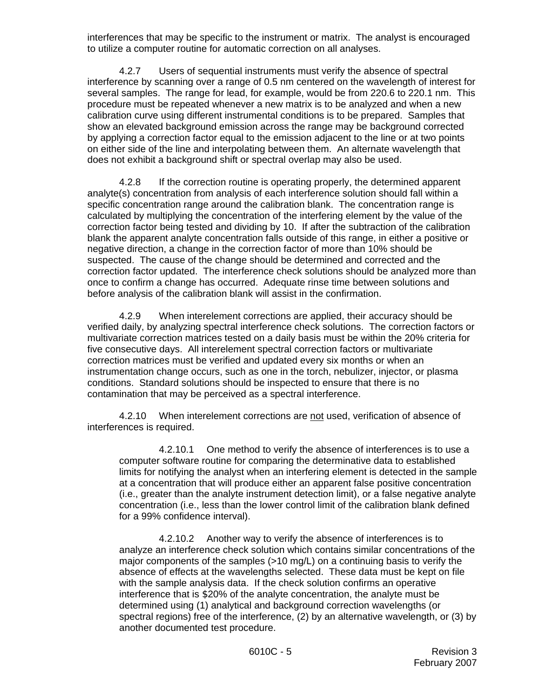interferences that may be specific to the instrument or matrix. The analyst is encouraged to utilize a computer routine for automatic correction on all analyses.

4.2.7 Users of sequential instruments must verify the absence of spectral interference by scanning over a range of 0.5 nm centered on the wavelength of interest for several samples. The range for lead, for example, would be from 220.6 to 220.1 nm. This procedure must be repeated whenever a new matrix is to be analyzed and when a new calibration curve using different instrumental conditions is to be prepared. Samples that show an elevated background emission across the range may be background corrected by applying a correction factor equal to the emission adjacent to the line or at two points on either side of the line and interpolating between them. An alternate wavelength that does not exhibit a background shift or spectral overlap may also be used.

4.2.8 If the correction routine is operating properly, the determined apparent analyte(s) concentration from analysis of each interference solution should fall within a specific concentration range around the calibration blank. The concentration range is calculated by multiplying the concentration of the interfering element by the value of the correction factor being tested and dividing by 10. If after the subtraction of the calibration blank the apparent analyte concentration falls outside of this range, in either a positive or negative direction, a change in the correction factor of more than 10% should be suspected. The cause of the change should be determined and corrected and the correction factor updated. The interference check solutions should be analyzed more than once to confirm a change has occurred. Adequate rinse time between solutions and before analysis of the calibration blank will assist in the confirmation.

4.2.9 When interelement corrections are applied, their accuracy should be verified daily, by analyzing spectral interference check solutions. The correction factors or multivariate correction matrices tested on a daily basis must be within the 20% criteria for five consecutive days. All interelement spectral correction factors or multivariate correction matrices must be verified and updated every six months or when an instrumentation change occurs, such as one in the torch, nebulizer, injector, or plasma conditions. Standard solutions should be inspected to ensure that there is no contamination that may be perceived as a spectral interference.

4.2.10 When interelement corrections are not used, verification of absence of interferences is required.

4.2.10.1 One method to verify the absence of interferences is to use a computer software routine for comparing the determinative data to established limits for notifying the analyst when an interfering element is detected in the sample at a concentration that will produce either an apparent false positive concentration (i.e., greater than the analyte instrument detection limit), or a false negative analyte concentration (i.e., less than the lower control limit of the calibration blank defined for a 99% confidence interval).

4.2.10.2 Another way to verify the absence of interferences is to analyze an interference check solution which contains similar concentrations of the major components of the samples (>10 mg/L) on a continuing basis to verify the absence of effects at the wavelengths selected. These data must be kept on file with the sample analysis data. If the check solution confirms an operative interference that is \$20% of the analyte concentration, the analyte must be determined using (1) analytical and background correction wavelengths (or spectral regions) free of the interference, (2) by an alternative wavelength, or (3) by another documented test procedure.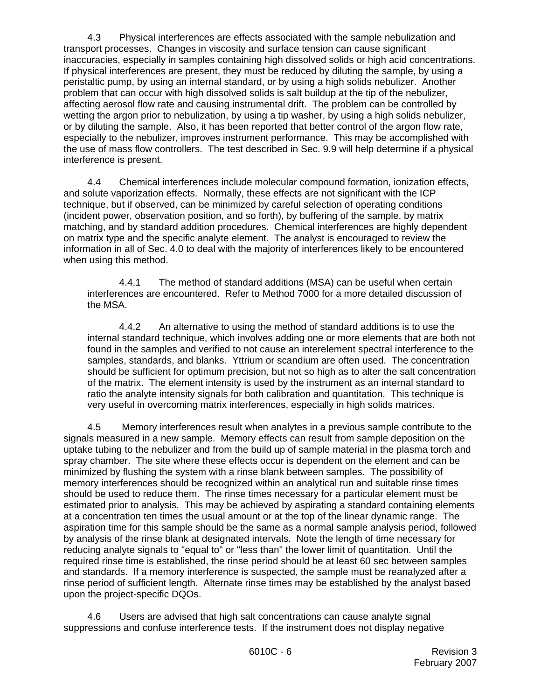4.3 Physical interferences are effects associated with the sample nebulization and transport processes. Changes in viscosity and surface tension can cause significant inaccuracies, especially in samples containing high dissolved solids or high acid concentrations. If physical interferences are present, they must be reduced by diluting the sample, by using a peristaltic pump, by using an internal standard, or by using a high solids nebulizer. Another problem that can occur with high dissolved solids is salt buildup at the tip of the nebulizer, affecting aerosol flow rate and causing instrumental drift. The problem can be controlled by wetting the argon prior to nebulization, by using a tip washer, by using a high solids nebulizer, or by diluting the sample. Also, it has been reported that better control of the argon flow rate, especially to the nebulizer, improves instrument performance. This may be accomplished with the use of mass flow controllers. The test described in Sec. 9.9 will help determine if a physical interference is present.

4.4 Chemical interferences include molecular compound formation, ionization effects, and solute vaporization effects. Normally, these effects are not significant with the ICP technique, but if observed, can be minimized by careful selection of operating conditions (incident power, observation position, and so forth), by buffering of the sample, by matrix matching, and by standard addition procedures. Chemical interferences are highly dependent on matrix type and the specific analyte element. The analyst is encouraged to review the information in all of Sec. 4.0 to deal with the majority of interferences likely to be encountered when using this method.

 4.4.1 The method of standard additions (MSA) can be useful when certain interferences are encountered. Refer to Method 7000 for a more detailed discussion of the MSA.

4.4.2 An alternative to using the method of standard additions is to use the internal standard technique, which involves adding one or more elements that are both not found in the samples and verified to not cause an interelement spectral interference to the samples, standards, and blanks. Yttrium or scandium are often used. The concentration should be sufficient for optimum precision, but not so high as to alter the salt concentration of the matrix. The element intensity is used by the instrument as an internal standard to ratio the analyte intensity signals for both calibration and quantitation. This technique is very useful in overcoming matrix interferences, especially in high solids matrices.

4.5 Memory interferences result when analytes in a previous sample contribute to the signals measured in a new sample. Memory effects can result from sample deposition on the uptake tubing to the nebulizer and from the build up of sample material in the plasma torch and spray chamber. The site where these effects occur is dependent on the element and can be minimized by flushing the system with a rinse blank between samples. The possibility of memory interferences should be recognized within an analytical run and suitable rinse times should be used to reduce them. The rinse times necessary for a particular element must be estimated prior to analysis. This may be achieved by aspirating a standard containing elements at a concentration ten times the usual amount or at the top of the linear dynamic range. The aspiration time for this sample should be the same as a normal sample analysis period, followed by analysis of the rinse blank at designated intervals. Note the length of time necessary for reducing analyte signals to "equal to" or "less than" the lower limit of quantitation. Until the required rinse time is established, the rinse period should be at least 60 sec between samples and standards. If a memory interference is suspected, the sample must be reanalyzed after a rinse period of sufficient length. Alternate rinse times may be established by the analyst based upon the project-specific DQOs.

4.6 Users are advised that high salt concentrations can cause analyte signal suppressions and confuse interference tests. If the instrument does not display negative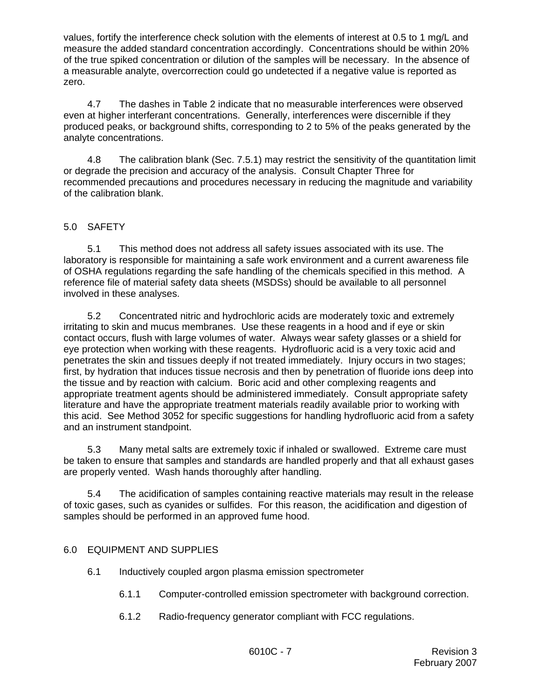values, fortify the interference check solution with the elements of interest at 0.5 to 1 mg/L and measure the added standard concentration accordingly. Concentrations should be within 20% of the true spiked concentration or dilution of the samples will be necessary. In the absence of a measurable analyte, overcorrection could go undetected if a negative value is reported as zero.

4.7 The dashes in Table 2 indicate that no measurable interferences were observed even at higher interferant concentrations. Generally, interferences were discernible if they produced peaks, or background shifts, corresponding to 2 to 5% of the peaks generated by the analyte concentrations.

4.8 The calibration blank (Sec. 7.5.1) may restrict the sensitivity of the quantitation limit or degrade the precision and accuracy of the analysis. Consult Chapter Three for recommended precautions and procedures necessary in reducing the magnitude and variability of the calibration blank.

## 5.0 SAFETY

5.1 This method does not address all safety issues associated with its use. The laboratory is responsible for maintaining a safe work environment and a current awareness file of OSHA regulations regarding the safe handling of the chemicals specified in this method. A reference file of material safety data sheets (MSDSs) should be available to all personnel involved in these analyses.

5.2 Concentrated nitric and hydrochloric acids are moderately toxic and extremely irritating to skin and mucus membranes. Use these reagents in a hood and if eye or skin contact occurs, flush with large volumes of water. Always wear safety glasses or a shield for eye protection when working with these reagents. Hydrofluoric acid is a very toxic acid and penetrates the skin and tissues deeply if not treated immediately. Injury occurs in two stages; first, by hydration that induces tissue necrosis and then by penetration of fluoride ions deep into the tissue and by reaction with calcium. Boric acid and other complexing reagents and appropriate treatment agents should be administered immediately. Consult appropriate safety literature and have the appropriate treatment materials readily available prior to working with this acid. See Method 3052 for specific suggestions for handling hydrofluoric acid from a safety and an instrument standpoint.

5.3 Many metal salts are extremely toxic if inhaled or swallowed. Extreme care must be taken to ensure that samples and standards are handled properly and that all exhaust gases are properly vented. Wash hands thoroughly after handling.

5.4 The acidification of samples containing reactive materials may result in the release of toxic gases, such as cyanides or sulfides. For this reason, the acidification and digestion of samples should be performed in an approved fume hood.

## 6.0 EQUIPMENT AND SUPPLIES

- 6.1 Inductively coupled argon plasma emission spectrometer
	- 6.1.1 Computer-controlled emission spectrometer with background correction.
	- 6.1.2 Radio-frequency generator compliant with FCC regulations.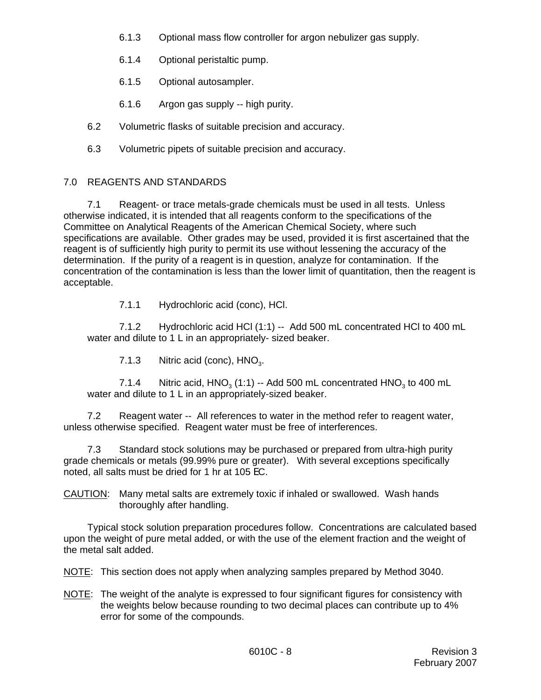- 6.1.3 Optional mass flow controller for argon nebulizer gas supply.
- 6.1.4 Optional peristaltic pump.
- 6.1.5 Optional autosampler.
- 6.1.6 Argon gas supply -- high purity.
- 6.2 Volumetric flasks of suitable precision and accuracy.
- 6.3 Volumetric pipets of suitable precision and accuracy.

# 7.0 REAGENTS AND STANDARDS

7.1 Reagent- or trace metals-grade chemicals must be used in all tests. Unless otherwise indicated, it is intended that all reagents conform to the specifications of the Committee on Analytical Reagents of the American Chemical Society, where such specifications are available. Other grades may be used, provided it is first ascertained that the reagent is of sufficiently high purity to permit its use without lessening the accuracy of the determination. If the purity of a reagent is in question, analyze for contamination. If the concentration of the contamination is less than the lower limit of quantitation, then the reagent is acceptable.

7.1.1 Hydrochloric acid (conc), HCl.

7.1.2 Hydrochloric acid HCl (1:1) -- Add 500 mL concentrated HCl to 400 mL water and dilute to 1 L in an appropriately- sized beaker.

7.1.3 Nitric acid (conc),  $HNO<sub>3</sub>$ .

7.1.4 Nitric acid,  $HNO<sub>3</sub>$  (1:1) -- Add 500 mL concentrated  $HNO<sub>3</sub>$  to 400 mL water and dilute to 1 L in an appropriately-sized beaker.

7.2 Reagent water -- All references to water in the method refer to reagent water, unless otherwise specified. Reagent water must be free of interferences.

7.3 Standard stock solutions may be purchased or prepared from ultra-high purity grade chemicals or metals (99.99% pure or greater). With several exceptions specifically noted, all salts must be dried for 1 hr at 105 EC.

CAUTION: Many metal salts are extremely toxic if inhaled or swallowed. Wash hands thoroughly after handling.

Typical stock solution preparation procedures follow. Concentrations are calculated based upon the weight of pure metal added, or with the use of the element fraction and the weight of the metal salt added.

NOTE: This section does not apply when analyzing samples prepared by Method 3040.

NOTE: The weight of the analyte is expressed to four significant figures for consistency with the weights below because rounding to two decimal places can contribute up to 4% error for some of the compounds.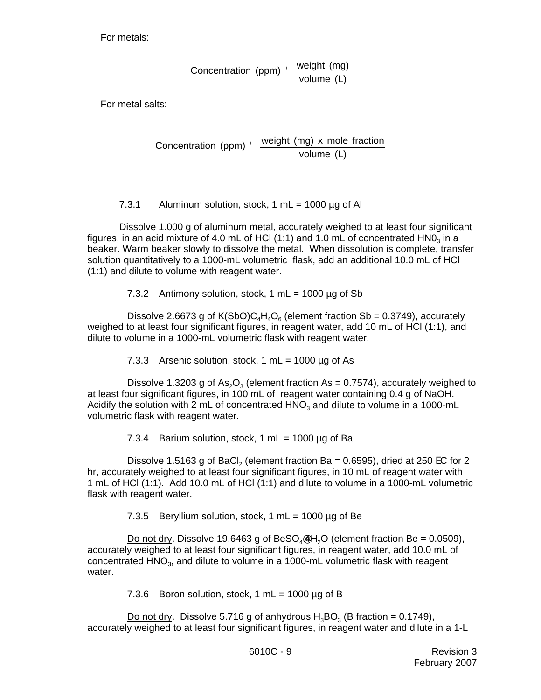For metals:

Concentration (ppm) ' weight (mg) volume (L)

For metal salts:

$$
Concentration (ppm) \cdot \frac{weight (mg) \times mole fraction}{volume (L)}
$$

7.3.1 Aluminum solution, stock, 1 mL =  $1000 \mu g$  of Al

Dissolve 1.000 g of aluminum metal, accurately weighed to at least four significant figures, in an acid mixture of 4.0 mL of HCl (1:1) and 1.0 mL of concentrated  $HNO<sub>3</sub>$  in a beaker. Warm beaker slowly to dissolve the metal. When dissolution is complete, transfer solution quantitatively to a 1000-mL volumetric flask, add an additional 10.0 mL of HCl (1:1) and dilute to volume with reagent water.

7.3.2 Antimony solution, stock, 1 mL =  $1000 \mu$ g of Sb

Dissolve 2.6673 g of K(SbO)C<sub>4</sub>H<sub>4</sub>O<sub>6</sub> (element fraction Sb = 0.3749), accurately weighed to at least four significant figures, in reagent water, add 10 mL of HCl (1:1), and dilute to volume in a 1000-mL volumetric flask with reagent water.

7.3.3 Arsenic solution, stock,  $1 \text{ mL} = 1000 \mu g$  of As

Dissolve 1.3203 g of As<sub>2</sub>O<sub>3</sub> (element fraction As = 0.7574), accurately weighed to at least four significant figures, in 100 mL of reagent water containing 0.4 g of NaOH. Acidify the solution with 2 mL of concentrated  $HNO<sub>3</sub>$  and dilute to volume in a 1000-mL volumetric flask with reagent water.

7.3.4 Barium solution, stock,  $1 mL = 1000 \mu$ g of Ba

Dissolve 1.5163 g of BaCl, (element fraction Ba = 0.6595), dried at 250 EC for 2 hr, accurately weighed to at least four significant figures, in 10 mL of reagent water with 1 mL of HCl (1:1). Add 10.0 mL of HCl (1:1) and dilute to volume in a 1000-mL volumetric flask with reagent water.

7.3.5 Beryllium solution, stock, 1 mL =  $1000 \mu$ g of Be

Do not dry. Dissolve 19.6463 g of BeSO<sub>4</sub> $4H<sub>2</sub>O$  (element fraction Be = 0.0509), accurately weighed to at least four significant figures, in reagent water, add 10.0 mL of concentrated HNO<sub>3</sub>, and dilute to volume in a 1000-mL volumetric flask with reagent water.

7.3.6 Boron solution, stock, 1 mL =  $1000 \mu g$  of B

Do not dry. Dissolve 5.716 g of anhydrous  $H_3BO_3$  (B fraction = 0.1749), accurately weighed to at least four significant figures, in reagent water and dilute in a 1-L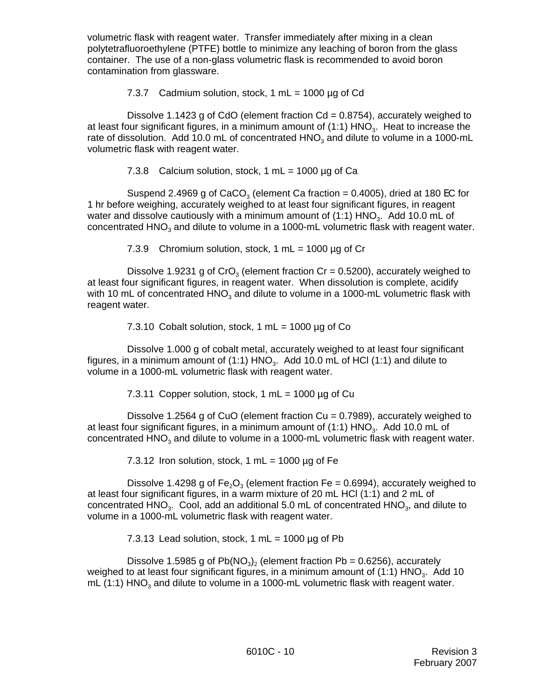volumetric flask with reagent water. Transfer immediately after mixing in a clean polytetrafluoroethylene (PTFE) bottle to minimize any leaching of boron from the glass container. The use of a non-glass volumetric flask is recommended to avoid boron contamination from glassware.

7.3.7 Cadmium solution, stock, 1 mL =  $1000 \mu g$  of Cd

Dissolve 1.1423 g of CdO (element fraction  $Cd = 0.8754$ ), accurately weighed to at least four significant figures, in a minimum amount of  $(1:1)$  HNO<sub>3</sub>. Heat to increase the rate of dissolution. Add 10.0 mL of concentrated HNO<sub>3</sub> and dilute to volume in a 1000-mL volumetric flask with reagent water.

7.3.8 Calcium solution, stock, 1 mL =  $1000 \mu$ g of Ca

Suspend 2.4969 g of CaCO<sub>3</sub> (element Ca fraction = 0.4005), dried at 180 EC for 1 hr before weighing, accurately weighed to at least four significant figures, in reagent water and dissolve cautiously with a minimum amount of  $(1:1)$  HNO<sub>3</sub>. Add 10.0 mL of concentrated  $HNO<sub>3</sub>$  and dilute to volume in a 1000-mL volumetric flask with reagent water.

7.3.9 Chromium solution, stock, 1 mL =  $1000 \mu$ g of Cr

Dissolve 1.9231 g of CrO<sub>3</sub> (element fraction Cr = 0.5200), accurately weighed to at least four significant figures, in reagent water. When dissolution is complete, acidify with 10 mL of concentrated  $HNO<sub>3</sub>$  and dilute to volume in a 1000-mL volumetric flask with reagent water.

7.3.10 Cobalt solution, stock, 1  $mL = 1000 \mu$ g of Co

Dissolve 1.000 g of cobalt metal, accurately weighed to at least four significant figures, in a minimum amount of (1:1)  $HNO<sub>3</sub>$ . Add 10.0 mL of HCl (1:1) and dilute to volume in a 1000-mL volumetric flask with reagent water.

7.3.11 Copper solution, stock, 1 mL =  $1000 \mu g$  of Cu

Dissolve 1.2564 g of CuO (element fraction Cu = 0.7989), accurately weighed to at least four significant figures, in a minimum amount of  $(1:1)$  HNO<sub>3</sub>. Add 10.0 mL of concentrated HNO<sub>2</sub> and dilute to volume in a 1000-mL volumetric flask with reagent water.

7.3.12 Iron solution, stock, 1 mL = 1000  $\mu$ g of Fe

Dissolve 1.4298 g of Fe<sub>2</sub>O<sub>3</sub> (element fraction Fe = 0.6994), accurately weighed to at least four significant figures, in a warm mixture of 20 mL HCl (1:1) and 2 mL of concentrated  $HNO<sub>3</sub>$ . Cool, add an additional 5.0 mL of concentrated  $HNO<sub>3</sub>$ , and dilute to volume in a 1000-mL volumetric flask with reagent water.

7.3.13 Lead solution, stock, 1 mL =  $1000 \mu g$  of Pb

Dissolve 1.5985 g of  $Pb(NO_3)_2$  (element fraction Pb = 0.6256), accurately weighed to at least four significant figures, in a minimum amount of  $(1:1)$  HNO<sub>3</sub>. Add 10 mL (1:1)  $HNO<sub>3</sub>$  and dilute to volume in a 1000-mL volumetric flask with reagent water.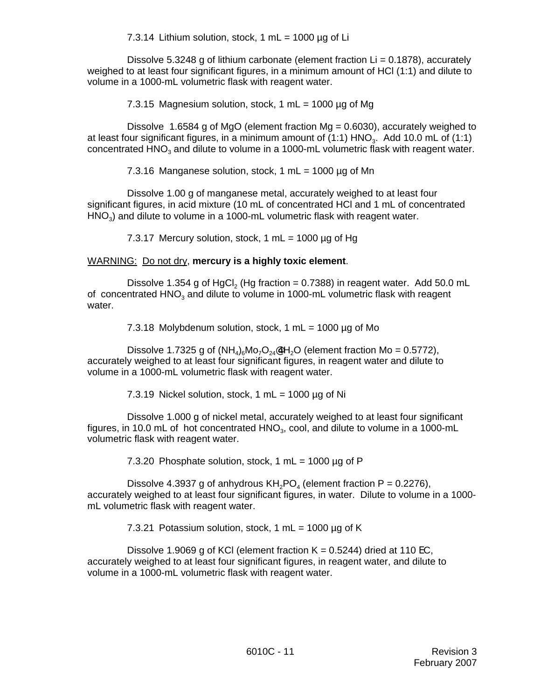7.3.14 Lithium solution, stock, 1 mL =  $1000 \mu$ g of Li

Dissolve 5.3248 g of lithium carbonate (element fraction  $Li = 0.1878$ ), accurately weighed to at least four significant figures, in a minimum amount of HCl (1:1) and dilute to volume in a 1000-mL volumetric flask with reagent water.

7.3.15 Magnesium solution, stock, 1 mL = 1000 µg of Mg

Dissolve 1.6584 g of MgO (element fraction Mg = 0.6030), accurately weighed to at least four significant figures, in a minimum amount of  $(1:1)$  HNO<sub>3</sub>. Add 10.0 mL of  $(1:1)$ concentrated HNO<sub>3</sub> and dilute to volume in a 1000-mL volumetric flask with reagent water.

7.3.16 Manganese solution, stock, 1 mL =  $1000 \mu$ g of Mn

Dissolve 1.00 g of manganese metal, accurately weighed to at least four significant figures, in acid mixture (10 mL of concentrated HCl and 1 mL of concentrated  $HNO<sub>3</sub>$ ) and dilute to volume in a 1000-mL volumetric flask with reagent water.

7.3.17 Mercury solution, stock, 1 mL =  $1000 \mu$ g of Hg

### WARNING: Do not dry, **mercury is a highly toxic element**.

Dissolve 1.354 g of HgCl<sub>2</sub> (Hg fraction =  $0.7388$ ) in reagent water. Add 50.0 mL of concentrated  $HNO<sub>3</sub>$  and dilute to volume in 1000-mL volumetric flask with reagent water.

7.3.18 Molybdenum solution, stock, 1 mL = 1000 µg of Mo

Dissolve 1.7325 g of  $(NH_4)_6M_2O_{24}$ 4H<sub>2</sub>O (element fraction Mo = 0.5772), accurately weighed to at least four significant figures, in reagent water and dilute to volume in a 1000-mL volumetric flask with reagent water.

7.3.19 Nickel solution, stock, 1 mL =  $1000 \mu$ g of Ni

Dissolve 1.000 g of nickel metal, accurately weighed to at least four significant figures, in 10.0 mL of hot concentrated  $HNO<sub>3</sub>$ , cool, and dilute to volume in a 1000-mL volumetric flask with reagent water.

7.3.20 Phosphate solution, stock, 1 mL =  $1000 \mu$ g of P

Dissolve 4.3937 g of anhydrous  $KH<sub>2</sub>PO<sub>4</sub>$  (element fraction P = 0.2276), accurately weighed to at least four significant figures, in water. Dilute to volume in a 1000 mL volumetric flask with reagent water.

7.3.21 Potassium solution, stock, 1 mL =  $1000 \mu$ g of K

Dissolve 1.9069 g of KCI (element fraction  $K = 0.5244$ ) dried at 110 EC, accurately weighed to at least four significant figures, in reagent water, and dilute to volume in a 1000-mL volumetric flask with reagent water.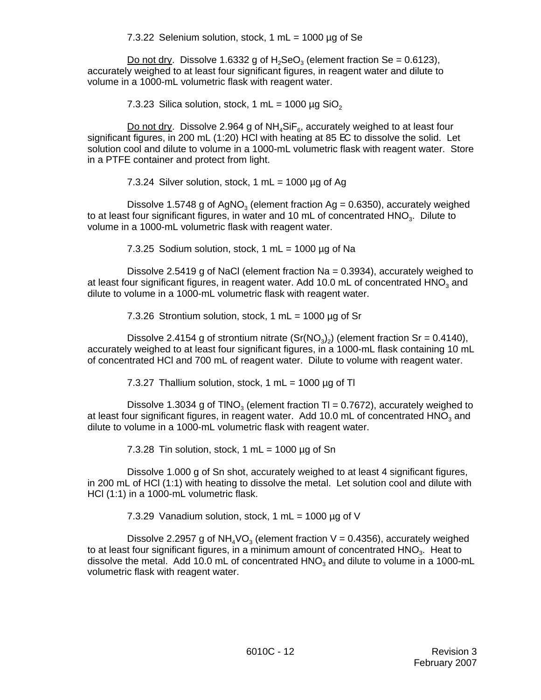7.3.22 Selenium solution, stock,  $1 mL = 1000 \mu g$  of Se

Do not dry. Dissolve 1.6332 g of  $H_2$ SeO<sub>3</sub> (element fraction Se = 0.6123), accurately weighed to at least four significant figures, in reagent water and dilute to volume in a 1000-mL volumetric flask with reagent water.

7.3.23 Silica solution, stock, 1 mL =  $1000 \mu g$  SiO<sub>2</sub>

Do not dry. Dissolve 2.964 g of  $NH<sub>4</sub>SiF<sub>6</sub>$ , accurately weighed to at least four significant figures, in 200 mL (1:20) HCl with heating at 85 EC to dissolve the solid. Let solution cool and dilute to volume in a 1000-mL volumetric flask with reagent water. Store in a PTFE container and protect from light.

7.3.24 Silver solution, stock, 1 mL =  $1000 \mu g$  of Ag

Dissolve 1.5748 g of AgNO<sub>3</sub> (element fraction Ag = 0.6350), accurately weighed to at least four significant figures, in water and 10 mL of concentrated HNO<sub>3</sub>. Dilute to volume in a 1000-mL volumetric flask with reagent water.

7.3.25 Sodium solution, stock, 1 mL =  $1000 \mu$ g of Na

Dissolve 2.5419 g of NaCl (element fraction Na = 0.3934), accurately weighed to at least four significant figures, in reagent water. Add 10.0 mL of concentrated  $HNO<sub>3</sub>$  and dilute to volume in a 1000-mL volumetric flask with reagent water.

7.3.26 Strontium solution, stock, 1 mL =  $1000 \mu g$  of Sr

Dissolve 2.4154 g of strontium nitrate  $(Sr(NO<sub>3</sub>)<sub>2</sub>)$  (element fraction Sr = 0.4140), accurately weighed to at least four significant figures, in a 1000-mL flask containing 10 mL of concentrated HCl and 700 mL of reagent water. Dilute to volume with reagent water.

7.3.27 Thallium solution, stock, 1 mL = 1000  $\mu$ q of Tl

Dissolve 1.3034 g of TINO<sub>3</sub> (element fraction TI = 0.7672), accurately weighed to at least four significant figures, in reagent water. Add 10.0 mL of concentrated  $HNO<sub>3</sub>$  and dilute to volume in a 1000-mL volumetric flask with reagent water.

7.3.28 Tin solution, stock, 1 mL =  $1000 \mu$ g of Sn

Dissolve 1.000 g of Sn shot, accurately weighed to at least 4 significant figures, in 200 mL of HCl (1:1) with heating to dissolve the metal. Let solution cool and dilute with HCl (1:1) in a 1000-mL volumetric flask.

7.3.29 Vanadium solution, stock, 1 mL = 1000  $\mu$ g of V

Dissolve 2.2957 g of  $NH_4VO_3$  (element fraction V = 0.4356), accurately weighed to at least four significant figures, in a minimum amount of concentrated  $HNO<sub>3</sub>$ . Heat to dissolve the metal. Add 10.0 mL of concentrated  $HNO<sub>3</sub>$  and dilute to volume in a 1000-mL volumetric flask with reagent water.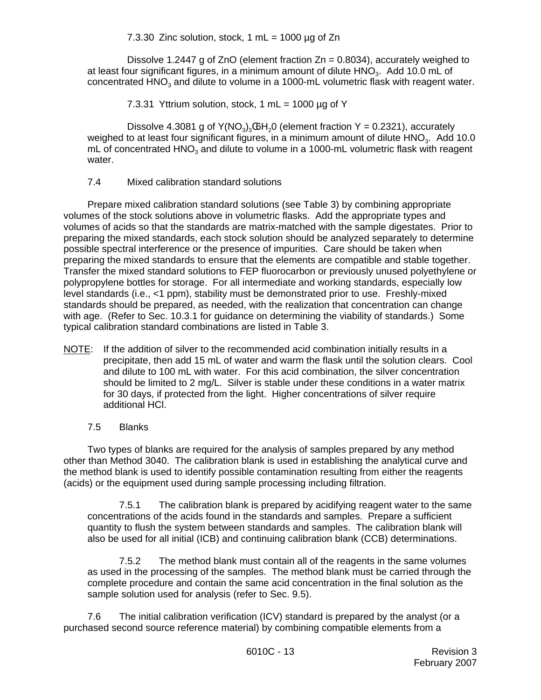7.3.30 Zinc solution, stock, 1 mL =  $1000 \mu g$  of Zn

Dissolve 1.2447 g of ZnO (element fraction  $Zn = 0.8034$ ), accurately weighed to at least four significant figures, in a minimum amount of dilute  $HNO<sub>3</sub>$ . Add 10.0 mL of concentrated HNO<sub>3</sub> and dilute to volume in a 1000-mL volumetric flask with reagent water.

7.3.31 Yttrium solution, stock, 1 mL =  $1000 \mu$ g of Y

Dissolve 4.3081 g of  $Y(NO<sub>3</sub>)<sub>3</sub>$  (GH<sub>2</sub>O (element fraction  $Y = 0.2321$ ), accurately weighed to at least four significant figures, in a minimum amount of dilute  $HNO<sub>3</sub>$ . Add 10.0 mL of concentrated HNO<sub>3</sub> and dilute to volume in a 1000-mL volumetric flask with reagent water.

7.4 Mixed calibration standard solutions

Prepare mixed calibration standard solutions (see Table 3) by combining appropriate volumes of the stock solutions above in volumetric flasks. Add the appropriate types and volumes of acids so that the standards are matrix-matched with the sample digestates. Prior to preparing the mixed standards, each stock solution should be analyzed separately to determine possible spectral interference or the presence of impurities. Care should be taken when preparing the mixed standards to ensure that the elements are compatible and stable together. Transfer the mixed standard solutions to FEP fluorocarbon or previously unused polyethylene or polypropylene bottles for storage. For all intermediate and working standards, especially low level standards (i.e., <1 ppm), stability must be demonstrated prior to use. Freshly-mixed standards should be prepared, as needed, with the realization that concentration can change with age. (Refer to Sec. 10.3.1 for guidance on determining the viability of standards.) Some typical calibration standard combinations are listed in Table 3.

NOTE: If the addition of silver to the recommended acid combination initially results in a precipitate, then add 15 mL of water and warm the flask until the solution clears. Cool and dilute to 100 mL with water. For this acid combination, the silver concentration should be limited to 2 mg/L. Silver is stable under these conditions in a water matrix for 30 days, if protected from the light. Higher concentrations of silver require additional HCl.

## 7.5 Blanks

Two types of blanks are required for the analysis of samples prepared by any method other than Method 3040. The calibration blank is used in establishing the analytical curve and the method blank is used to identify possible contamination resulting from either the reagents (acids) or the equipment used during sample processing including filtration.

7.5.1 The calibration blank is prepared by acidifying reagent water to the same concentrations of the acids found in the standards and samples. Prepare a sufficient quantity to flush the system between standards and samples. The calibration blank will also be used for all initial (ICB) and continuing calibration blank (CCB) determinations.

7.5.2 The method blank must contain all of the reagents in the same volumes as used in the processing of the samples. The method blank must be carried through the complete procedure and contain the same acid concentration in the final solution as the sample solution used for analysis (refer to Sec. 9.5).

7.6 The initial calibration verification (ICV) standard is prepared by the analyst (or a purchased second source reference material) by combining compatible elements from a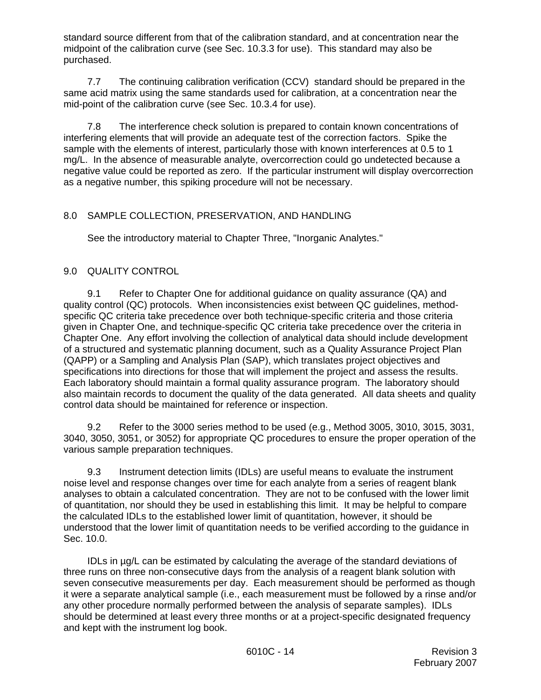standard source different from that of the calibration standard, and at concentration near the midpoint of the calibration curve (see Sec. 10.3.3 for use). This standard may also be purchased.

7.7 The continuing calibration verification (CCV) standard should be prepared in the same acid matrix using the same standards used for calibration, at a concentration near the mid-point of the calibration curve (see Sec. 10.3.4 for use).

7.8 The interference check solution is prepared to contain known concentrations of interfering elements that will provide an adequate test of the correction factors. Spike the sample with the elements of interest, particularly those with known interferences at 0.5 to 1 mg/L. In the absence of measurable analyte, overcorrection could go undetected because a negative value could be reported as zero. If the particular instrument will display overcorrection as a negative number, this spiking procedure will not be necessary.

## 8.0 SAMPLE COLLECTION, PRESERVATION, AND HANDLING

See the introductory material to Chapter Three, "Inorganic Analytes."

# 9.0 QUALITY CONTROL

9.1 Refer to Chapter One for additional guidance on quality assurance (QA) and quality control (QC) protocols. When inconsistencies exist between QC guidelines, methodspecific QC criteria take precedence over both technique-specific criteria and those criteria given in Chapter One, and technique-specific QC criteria take precedence over the criteria in Chapter One. Any effort involving the collection of analytical data should include development of a structured and systematic planning document, such as a Quality Assurance Project Plan (QAPP) or a Sampling and Analysis Plan (SAP), which translates project objectives and specifications into directions for those that will implement the project and assess the results. Each laboratory should maintain a formal quality assurance program. The laboratory should also maintain records to document the quality of the data generated. All data sheets and quality control data should be maintained for reference or inspection.

9.2 Refer to the 3000 series method to be used (e.g., Method 3005, 3010, 3015, 3031, 3040, 3050, 3051, or 3052) for appropriate QC procedures to ensure the proper operation of the various sample preparation techniques.

9.3 Instrument detection limits (IDLs) are useful means to evaluate the instrument noise level and response changes over time for each analyte from a series of reagent blank analyses to obtain a calculated concentration. They are not to be confused with the lower limit of quantitation, nor should they be used in establishing this limit. It may be helpful to compare the calculated IDLs to the established lower limit of quantitation, however, it should be understood that the lower limit of quantitation needs to be verified according to the guidance in Sec. 10.0.

IDLs in µg/L can be estimated by calculating the average of the standard deviations of three runs on three non-consecutive days from the analysis of a reagent blank solution with seven consecutive measurements per day. Each measurement should be performed as though it were a separate analytical sample (i.e., each measurement must be followed by a rinse and/or any other procedure normally performed between the analysis of separate samples). IDLs should be determined at least every three months or at a project-specific designated frequency and kept with the instrument log book.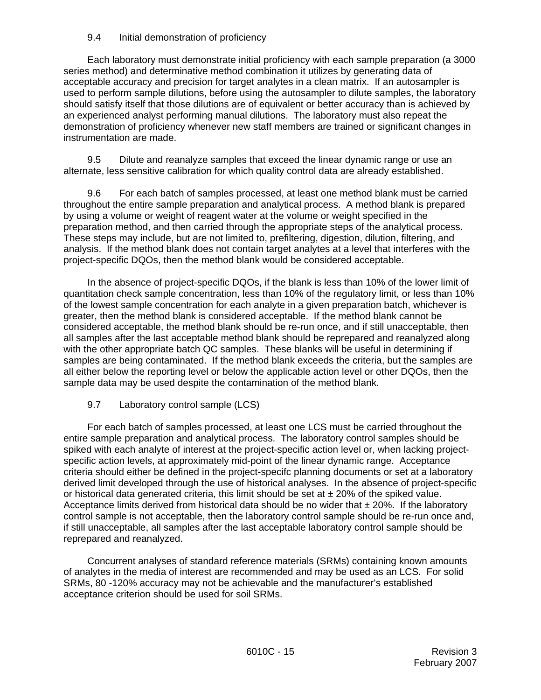### 9.4 Initial demonstration of proficiency

Each laboratory must demonstrate initial proficiency with each sample preparation (a 3000 series method) and determinative method combination it utilizes by generating data of acceptable accuracy and precision for target analytes in a clean matrix. If an autosampler is used to perform sample dilutions, before using the autosampler to dilute samples, the laboratory should satisfy itself that those dilutions are of equivalent or better accuracy than is achieved by an experienced analyst performing manual dilutions. The laboratory must also repeat the demonstration of proficiency whenever new staff members are trained or significant changes in instrumentation are made.

9.5 Dilute and reanalyze samples that exceed the linear dynamic range or use an alternate, less sensitive calibration for which quality control data are already established.

9.6 For each batch of samples processed, at least one method blank must be carried throughout the entire sample preparation and analytical process. A method blank is prepared by using a volume or weight of reagent water at the volume or weight specified in the preparation method, and then carried through the appropriate steps of the analytical process. These steps may include, but are not limited to, prefiltering, digestion, dilution, filtering, and analysis. If the method blank does not contain target analytes at a level that interferes with the project-specific DQOs, then the method blank would be considered acceptable.

In the absence of project-specific DQOs, if the blank is less than 10% of the lower limit of quantitation check sample concentration, less than 10% of the regulatory limit, or less than 10% of the lowest sample concentration for each analyte in a given preparation batch, whichever is greater, then the method blank is considered acceptable. If the method blank cannot be considered acceptable, the method blank should be re-run once, and if still unacceptable, then all samples after the last acceptable method blank should be reprepared and reanalyzed along with the other appropriate batch QC samples. These blanks will be useful in determining if samples are being contaminated. If the method blank exceeds the criteria, but the samples are all either below the reporting level or below the applicable action level or other DQOs, then the sample data may be used despite the contamination of the method blank.

## 9.7 Laboratory control sample (LCS)

For each batch of samples processed, at least one LCS must be carried throughout the entire sample preparation and analytical process. The laboratory control samples should be spiked with each analyte of interest at the project-specific action level or, when lacking projectspecific action levels, at approximately mid-point of the linear dynamic range. Acceptance criteria should either be defined in the project-specifc planning documents or set at a laboratory derived limit developed through the use of historical analyses. In the absence of project-specific or historical data generated criteria, this limit should be set at  $\pm$  20% of the spiked value. Acceptance limits derived from historical data should be no wider that  $\pm 20\%$ . If the laboratory control sample is not acceptable, then the laboratory control sample should be re-run once and, if still unacceptable, all samples after the last acceptable laboratory control sample should be reprepared and reanalyzed.

Concurrent analyses of standard reference materials (SRMs) containing known amounts of analytes in the media of interest are recommended and may be used as an LCS. For solid SRMs, 80 -120% accuracy may not be achievable and the manufacturer's established acceptance criterion should be used for soil SRMs.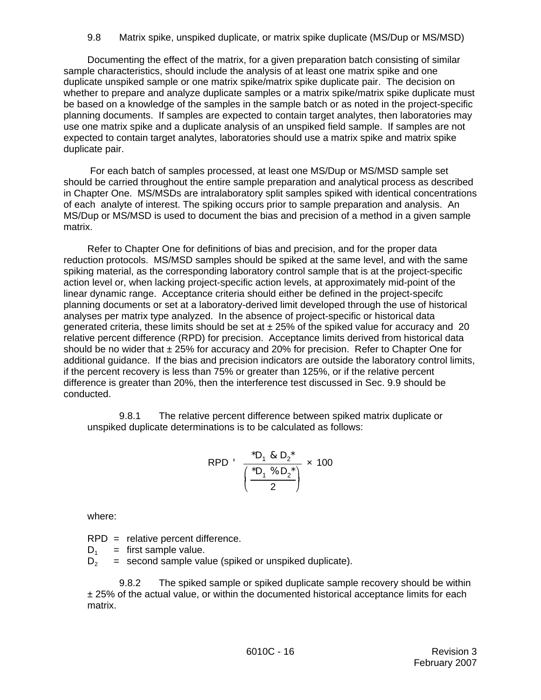Documenting the effect of the matrix, for a given preparation batch consisting of similar sample characteristics, should include the analysis of at least one matrix spike and one duplicate unspiked sample or one matrix spike/matrix spike duplicate pair. The decision on whether to prepare and analyze duplicate samples or a matrix spike/matrix spike duplicate must be based on a knowledge of the samples in the sample batch or as noted in the project-specific planning documents. If samples are expected to contain target analytes, then laboratories may use one matrix spike and a duplicate analysis of an unspiked field sample. If samples are not expected to contain target analytes, laboratories should use a matrix spike and matrix spike duplicate pair.

 For each batch of samples processed, at least one MS/Dup or MS/MSD sample set should be carried throughout the entire sample preparation and analytical process as described in Chapter One. MS/MSDs are intralaboratory split samples spiked with identical concentrations of each analyte of interest. The spiking occurs prior to sample preparation and analysis. An MS/Dup or MS/MSD is used to document the bias and precision of a method in a given sample matrix.

Refer to Chapter One for definitions of bias and precision, and for the proper data reduction protocols. MS/MSD samples should be spiked at the same level, and with the same spiking material, as the corresponding laboratory control sample that is at the project-specific action level or, when lacking project-specific action levels, at approximately mid-point of the linear dynamic range. Acceptance criteria should either be defined in the project-specifc planning documents or set at a laboratory-derived limit developed through the use of historical analyses per matrix type analyzed. In the absence of project-specific or historical data generated criteria, these limits should be set at  $\pm 25%$  of the spiked value for accuracy and 20 relative percent difference (RPD) for precision. Acceptance limits derived from historical data should be no wider that  $\pm 25\%$  for accuracy and 20% for precision. Refer to Chapter One for additional guidance. If the bias and precision indicators are outside the laboratory control limits, if the percent recovery is less than 75% or greater than 125%, or if the relative percent difference is greater than 20%, then the interference test discussed in Sec. 9.9 should be conducted.

9.8.1 The relative percent difference between spiked matrix duplicate or unspiked duplicate determinations is to be calculated as follows:

RPD 
$$
\frac{{}^{*}D_{1} & 8 D_{2} {}^{*}}{\left(\frac{{}^{*}D_{1} & 9 D_{2} {}^{*}}{2}\right)} \times 100
$$

where:

RPD = relative percent difference.

 $D_1$  = first sample value.<br> $D_2$  = second sample value = second sample value (spiked or unspiked duplicate).

9.8.2 The spiked sample or spiked duplicate sample recovery should be within ± 25% of the actual value, or within the documented historical acceptance limits for each matrix.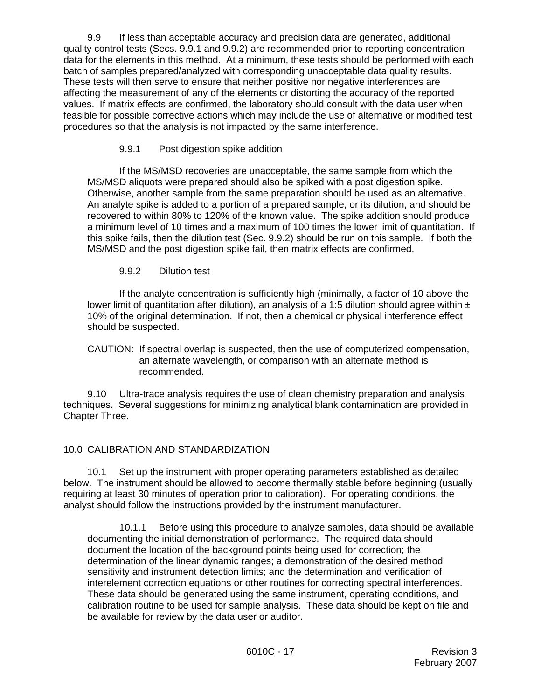9.9 If less than acceptable accuracy and precision data are generated, additional quality control tests (Secs. 9.9.1 and 9.9.2) are recommended prior to reporting concentration data for the elements in this method. At a minimum, these tests should be performed with each batch of samples prepared/analyzed with corresponding unacceptable data quality results. These tests will then serve to ensure that neither positive nor negative interferences are affecting the measurement of any of the elements or distorting the accuracy of the reported values. If matrix effects are confirmed, the laboratory should consult with the data user when feasible for possible corrective actions which may include the use of alternative or modified test procedures so that the analysis is not impacted by the same interference.

### 9.9.1 Post digestion spike addition

If the MS/MSD recoveries are unacceptable, the same sample from which the MS/MSD aliquots were prepared should also be spiked with a post digestion spike. Otherwise, another sample from the same preparation should be used as an alternative. An analyte spike is added to a portion of a prepared sample, or its dilution, and should be recovered to within 80% to 120% of the known value. The spike addition should produce a minimum level of 10 times and a maximum of 100 times the lower limit of quantitation. If this spike fails, then the dilution test (Sec. 9.9.2) should be run on this sample. If both the MS/MSD and the post digestion spike fail, then matrix effects are confirmed.

### 9.9.2 Dilution test

If the analyte concentration is sufficiently high (minimally, a factor of 10 above the lower limit of quantitation after dilution), an analysis of a 1:5 dilution should agree within  $\pm$ 10% of the original determination. If not, then a chemical or physical interference effect should be suspected.

#### CAUTION: If spectral overlap is suspected, then the use of computerized compensation, an alternate wavelength, or comparison with an alternate method is recommended.

9.10 Ultra-trace analysis requires the use of clean chemistry preparation and analysis techniques. Several suggestions for minimizing analytical blank contamination are provided in Chapter Three.

## 10.0 CALIBRATION AND STANDARDIZATION

10.1 Set up the instrument with proper operating parameters established as detailed below. The instrument should be allowed to become thermally stable before beginning (usually requiring at least 30 minutes of operation prior to calibration). For operating conditions, the analyst should follow the instructions provided by the instrument manufacturer.

10.1.1 Before using this procedure to analyze samples, data should be available documenting the initial demonstration of performance. The required data should document the location of the background points being used for correction; the determination of the linear dynamic ranges; a demonstration of the desired method sensitivity and instrument detection limits; and the determination and verification of interelement correction equations or other routines for correcting spectral interferences. These data should be generated using the same instrument, operating conditions, and calibration routine to be used for sample analysis. These data should be kept on file and be available for review by the data user or auditor.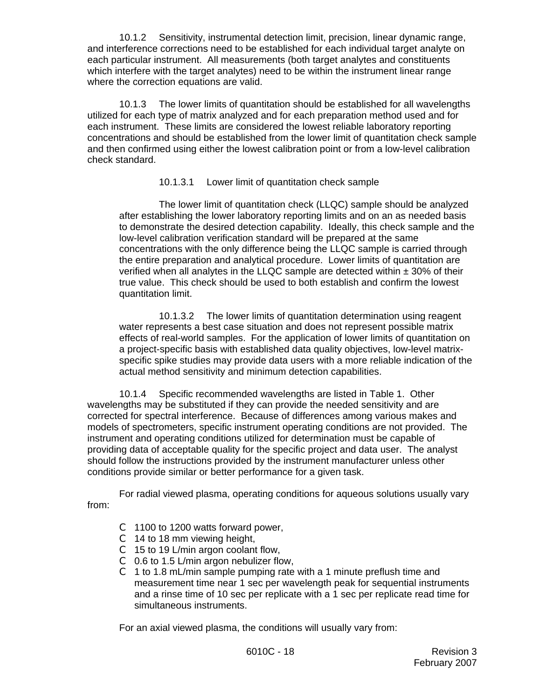10.1.2 Sensitivity, instrumental detection limit, precision, linear dynamic range, and interference corrections need to be established for each individual target analyte on each particular instrument. All measurements (both target analytes and constituents which interfere with the target analytes) need to be within the instrument linear range where the correction equations are valid.

10.1.3 The lower limits of quantitation should be established for all wavelengths utilized for each type of matrix analyzed and for each preparation method used and for each instrument. These limits are considered the lowest reliable laboratory reporting concentrations and should be established from the lower limit of quantitation check sample and then confirmed using either the lowest calibration point or from a low-level calibration check standard.

### 10.1.3.1 Lower limit of quantitation check sample

The lower limit of quantitation check (LLQC) sample should be analyzed after establishing the lower laboratory reporting limits and on an as needed basis to demonstrate the desired detection capability. Ideally, this check sample and the low-level calibration verification standard will be prepared at the same concentrations with the only difference being the LLQC sample is carried through the entire preparation and analytical procedure. Lower limits of quantitation are verified when all analytes in the LLQC sample are detected within  $\pm$  30% of their true value. This check should be used to both establish and confirm the lowest quantitation limit.

10.1.3.2 The lower limits of quantitation determination using reagent water represents a best case situation and does not represent possible matrix effects of real-world samples. For the application of lower limits of quantitation on a project-specific basis with established data quality objectives, low-level matrixspecific spike studies may provide data users with a more reliable indication of the actual method sensitivity and minimum detection capabilities.

10.1.4 Specific recommended wavelengths are listed in Table 1. Other wavelengths may be substituted if they can provide the needed sensitivity and are corrected for spectral interference. Because of differences among various makes and models of spectrometers, specific instrument operating conditions are not provided. The instrument and operating conditions utilized for determination must be capable of providing data of acceptable quality for the specific project and data user. The analyst should follow the instructions provided by the instrument manufacturer unless other conditions provide similar or better performance for a given task.

For radial viewed plasma, operating conditions for aqueous solutions usually vary from:

- C 1100 to 1200 watts forward power,
- $C$  14 to 18 mm viewing height,
- C 15 to 19 L/min argon coolant flow,
- C 0.6 to 1.5 L/min argon nebulizer flow,
- $C$  1 to 1.8 mL/min sample pumping rate with a 1 minute preflush time and measurement time near 1 sec per wavelength peak for sequential instruments and a rinse time of 10 sec per replicate with a 1 sec per replicate read time for simultaneous instruments.

For an axial viewed plasma, the conditions will usually vary from: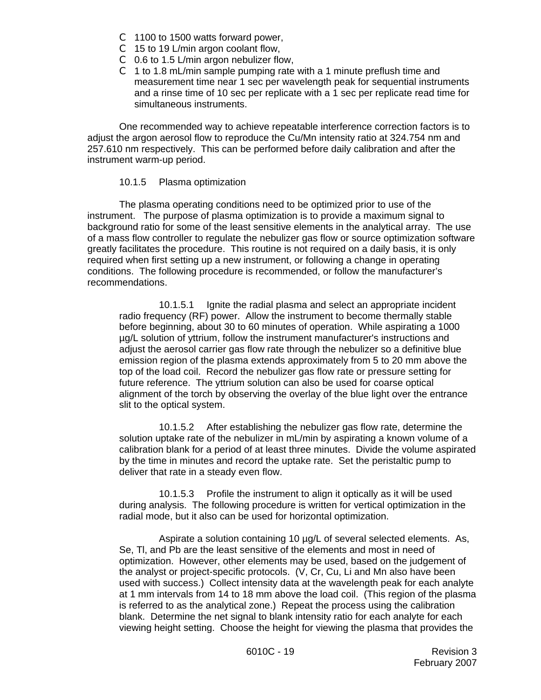- C 1100 to 1500 watts forward power,
- C 15 to 19 L/min argon coolant flow,
- C 0.6 to 1.5 L/min argon nebulizer flow,
- $C$  1 to 1.8 mL/min sample pumping rate with a 1 minute preflush time and measurement time near 1 sec per wavelength peak for sequential instruments and a rinse time of 10 sec per replicate with a 1 sec per replicate read time for simultaneous instruments.

One recommended way to achieve repeatable interference correction factors is to adjust the argon aerosol flow to reproduce the Cu/Mn intensity ratio at 324.754 nm and 257.610 nm respectively. This can be performed before daily calibration and after the instrument warm-up period.

### 10.1.5 Plasma optimization

The plasma operating conditions need to be optimized prior to use of the instrument. The purpose of plasma optimization is to provide a maximum signal to background ratio for some of the least sensitive elements in the analytical array. The use of a mass flow controller to regulate the nebulizer gas flow or source optimization software greatly facilitates the procedure. This routine is not required on a daily basis, it is only required when first setting up a new instrument, or following a change in operating conditions. The following procedure is recommended, or follow the manufacturer's recommendations.

10.1.5.1 Ignite the radial plasma and select an appropriate incident radio frequency (RF) power. Allow the instrument to become thermally stable before beginning, about 30 to 60 minutes of operation. While aspirating a 1000 µg/L solution of yttrium, follow the instrument manufacturer's instructions and adjust the aerosol carrier gas flow rate through the nebulizer so a definitive blue emission region of the plasma extends approximately from 5 to 20 mm above the top of the load coil. Record the nebulizer gas flow rate or pressure setting for future reference. The yttrium solution can also be used for coarse optical alignment of the torch by observing the overlay of the blue light over the entrance slit to the optical system.

10.1.5.2 After establishing the nebulizer gas flow rate, determine the solution uptake rate of the nebulizer in mL/min by aspirating a known volume of a calibration blank for a period of at least three minutes. Divide the volume aspirated by the time in minutes and record the uptake rate. Set the peristaltic pump to deliver that rate in a steady even flow.

10.1.5.3 Profile the instrument to align it optically as it will be used during analysis. The following procedure is written for vertical optimization in the radial mode, but it also can be used for horizontal optimization.

Aspirate a solution containing 10 µg/L of several selected elements. As, Se, Tl, and Pb are the least sensitive of the elements and most in need of optimization. However, other elements may be used, based on the judgement of the analyst or project-specific protocols. (V, Cr, Cu, Li and Mn also have been used with success.) Collect intensity data at the wavelength peak for each analyte at 1 mm intervals from 14 to 18 mm above the load coil. (This region of the plasma is referred to as the analytical zone.) Repeat the process using the calibration blank. Determine the net signal to blank intensity ratio for each analyte for each viewing height setting. Choose the height for viewing the plasma that provides the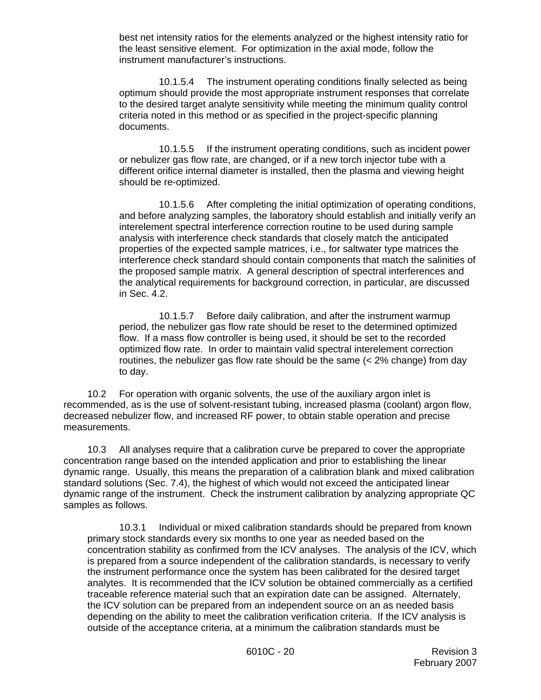best net intensity ratios for the elements analyzed or the highest intensity ratio for the least sensitive element. For optimization in the axial mode, follow the instrument manufacturer's instructions.

10.1.5.4 The instrument operating conditions finally selected as being optimum should provide the most appropriate instrument responses that correlate to the desired target analyte sensitivity while meeting the minimum quality control criteria noted in this method or as specified in the project-specific planning documents.

10.1.5.5 If the instrument operating conditions, such as incident power or nebulizer gas flow rate, are changed, or if a new torch injector tube with a different orifice internal diameter is installed, then the plasma and viewing height should be re-optimized.

10.1.5.6 After completing the initial optimization of operating conditions, and before analyzing samples, the laboratory should establish and initially verify an interelement spectral interference correction routine to be used during sample analysis with interference check standards that closely match the anticipated properties of the expected sample matrices, i.e., for saltwater type matrices the interference check standard should contain components that match the salinities of the proposed sample matrix. A general description of spectral interferences and the analytical requirements for background correction, in particular, are discussed in Sec. 4.2.

10.1.5.7 Before daily calibration, and after the instrument warmup period, the nebulizer gas flow rate should be reset to the determined optimized flow. If a mass flow controller is being used, it should be set to the recorded optimized flow rate. In order to maintain valid spectral interelement correction routines, the nebulizer gas flow rate should be the same (< 2% change) from day to day.

10.2 For operation with organic solvents, the use of the auxiliary argon inlet is recommended, as is the use of solvent-resistant tubing, increased plasma (coolant) argon flow, decreased nebulizer flow, and increased RF power, to obtain stable operation and precise measurements.

10.3 All analyses require that a calibration curve be prepared to cover the appropriate concentration range based on the intended application and prior to establishing the linear dynamic range. Usually, this means the preparation of a calibration blank and mixed calibration standard solutions (Sec. 7.4), the highest of which would not exceed the anticipated linear dynamic range of the instrument. Check the instrument calibration by analyzing appropriate QC samples as follows.

10.3.1 Individual or mixed calibration standards should be prepared from known primary stock standards every six months to one year as needed based on the concentration stability as confirmed from the ICV analyses. The analysis of the ICV, which is prepared from a source independent of the calibration standards, is necessary to verify the instrument performance once the system has been calibrated for the desired target analytes. It is recommended that the ICV solution be obtained commercially as a certified traceable reference material such that an expiration date can be assigned. Alternately, the ICV solution can be prepared from an independent source on an as needed basis depending on the ability to meet the calibration verification criteria. If the ICV analysis is outside of the acceptance criteria, at a minimum the calibration standards must be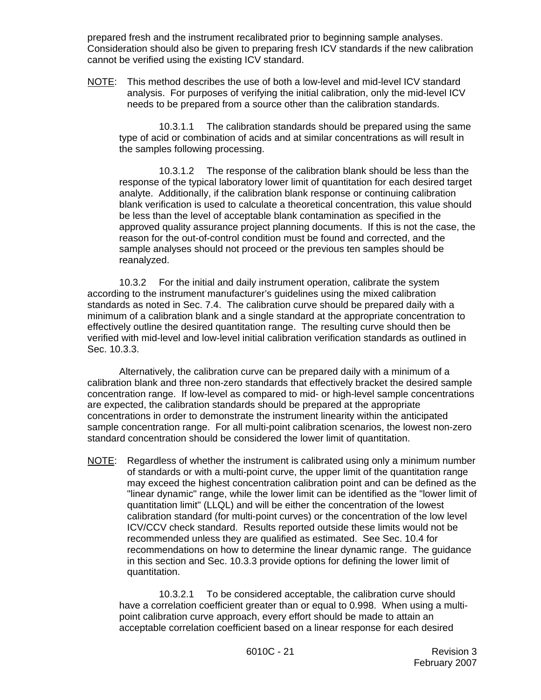prepared fresh and the instrument recalibrated prior to beginning sample analyses. Consideration should also be given to preparing fresh ICV standards if the new calibration cannot be verified using the existing ICV standard.

NOTE: This method describes the use of both a low-level and mid-level ICV standard analysis. For purposes of verifying the initial calibration, only the mid-level ICV needs to be prepared from a source other than the calibration standards.

10.3.1.1 The calibration standards should be prepared using the same type of acid or combination of acids and at similar concentrations as will result in the samples following processing.

10.3.1.2 The response of the calibration blank should be less than the response of the typical laboratory lower limit of quantitation for each desired target analyte. Additionally, if the calibration blank response or continuing calibration blank verification is used to calculate a theoretical concentration, this value should be less than the level of acceptable blank contamination as specified in the approved quality assurance project planning documents. If this is not the case, the reason for the out-of-control condition must be found and corrected, and the sample analyses should not proceed or the previous ten samples should be reanalyzed.

10.3.2 For the initial and daily instrument operation, calibrate the system according to the instrument manufacturer's guidelines using the mixed calibration standards as noted in Sec. 7.4. The calibration curve should be prepared daily with a minimum of a calibration blank and a single standard at the appropriate concentration to effectively outline the desired quantitation range. The resulting curve should then be verified with mid-level and low-level initial calibration verification standards as outlined in Sec. 10.3.3.

Alternatively, the calibration curve can be prepared daily with a minimum of a calibration blank and three non-zero standards that effectively bracket the desired sample concentration range. If low-level as compared to mid- or high-level sample concentrations are expected, the calibration standards should be prepared at the appropriate concentrations in order to demonstrate the instrument linearity within the anticipated sample concentration range. For all multi-point calibration scenarios, the lowest non-zero standard concentration should be considered the lower limit of quantitation.

NOTE: Regardless of whether the instrument is calibrated using only a minimum number of standards or with a multi-point curve, the upper limit of the quantitation range may exceed the highest concentration calibration point and can be defined as the "linear dynamic" range, while the lower limit can be identified as the "lower limit of quantitation limit" (LLQL) and will be either the concentration of the lowest calibration standard (for multi-point curves) or the concentration of the low level ICV/CCV check standard. Results reported outside these limits would not be recommended unless they are qualified as estimated. See Sec. 10.4 for recommendations on how to determine the linear dynamic range. The guidance in this section and Sec. 10.3.3 provide options for defining the lower limit of quantitation.

10.3.2.1 To be considered acceptable, the calibration curve should have a correlation coefficient greater than or equal to 0.998. When using a multipoint calibration curve approach, every effort should be made to attain an acceptable correlation coefficient based on a linear response for each desired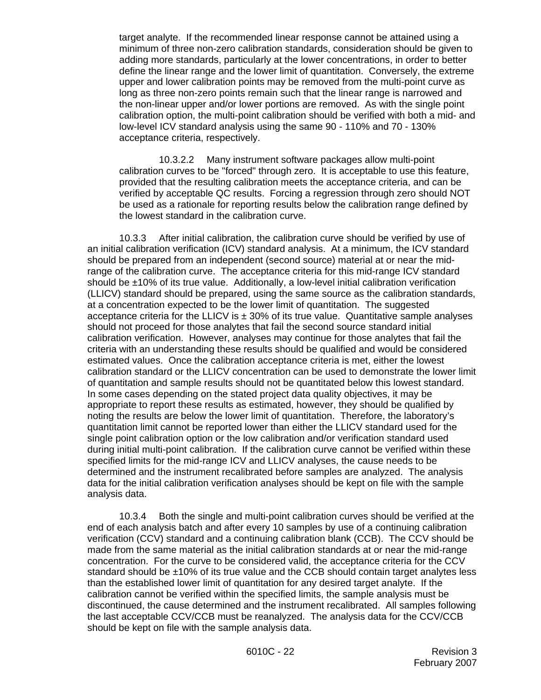target analyte. If the recommended linear response cannot be attained using a minimum of three non-zero calibration standards, consideration should be given to adding more standards, particularly at the lower concentrations, in order to better define the linear range and the lower limit of quantitation. Conversely, the extreme upper and lower calibration points may be removed from the multi-point curve as long as three non-zero points remain such that the linear range is narrowed and the non-linear upper and/or lower portions are removed. As with the single point calibration option, the multi-point calibration should be verified with both a mid- and low-level ICV standard analysis using the same 90 - 110% and 70 - 130% acceptance criteria, respectively.

10.3.2.2 Many instrument software packages allow multi-point calibration curves to be "forced" through zero. It is acceptable to use this feature, provided that the resulting calibration meets the acceptance criteria, and can be verified by acceptable QC results. Forcing a regression through zero should NOT be used as a rationale for reporting results below the calibration range defined by the lowest standard in the calibration curve.

10.3.3 After initial calibration, the calibration curve should be verified by use of an initial calibration verification (ICV) standard analysis. At a minimum, the ICV standard should be prepared from an independent (second source) material at or near the midrange of the calibration curve. The acceptance criteria for this mid-range ICV standard should be ±10% of its true value. Additionally, a low-level initial calibration verification (LLICV) standard should be prepared, using the same source as the calibration standards, at a concentration expected to be the lower limit of quantitation. The suggested acceptance criteria for the LLICV is  $\pm$  30% of its true value. Quantitative sample analyses should not proceed for those analytes that fail the second source standard initial calibration verification. However, analyses may continue for those analytes that fail the criteria with an understanding these results should be qualified and would be considered estimated values. Once the calibration acceptance criteria is met, either the lowest calibration standard or the LLICV concentration can be used to demonstrate the lower limit of quantitation and sample results should not be quantitated below this lowest standard. In some cases depending on the stated project data quality objectives, it may be appropriate to report these results as estimated, however, they should be qualified by noting the results are below the lower limit of quantitation. Therefore, the laboratory's quantitation limit cannot be reported lower than either the LLICV standard used for the single point calibration option or the low calibration and/or verification standard used during initial multi-point calibration. If the calibration curve cannot be verified within these specified limits for the mid-range ICV and LLICV analyses, the cause needs to be determined and the instrument recalibrated before samples are analyzed. The analysis data for the initial calibration verification analyses should be kept on file with the sample analysis data.

10.3.4 Both the single and multi-point calibration curves should be verified at the end of each analysis batch and after every 10 samples by use of a continuing calibration verification (CCV) standard and a continuing calibration blank (CCB). The CCV should be made from the same material as the initial calibration standards at or near the mid-range concentration. For the curve to be considered valid, the acceptance criteria for the CCV standard should be ±10% of its true value and the CCB should contain target analytes less than the established lower limit of quantitation for any desired target analyte. If the calibration cannot be verified within the specified limits, the sample analysis must be discontinued, the cause determined and the instrument recalibrated. All samples following the last acceptable CCV/CCB must be reanalyzed. The analysis data for the CCV/CCB should be kept on file with the sample analysis data.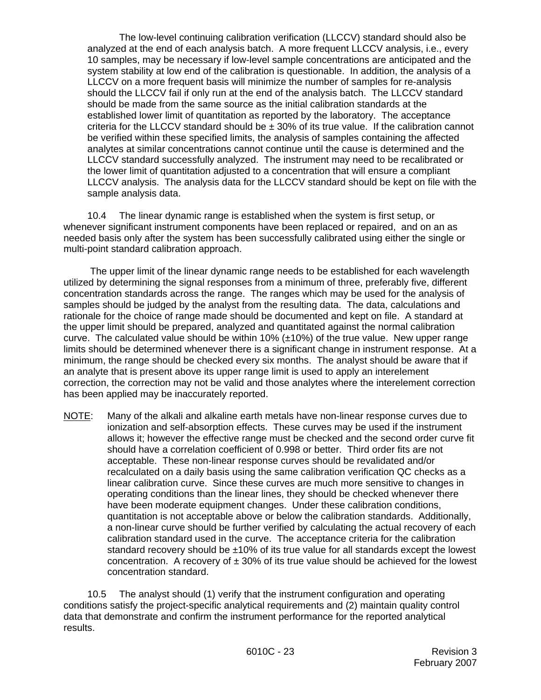The low-level continuing calibration verification (LLCCV) standard should also be analyzed at the end of each analysis batch. A more frequent LLCCV analysis, i.e., every 10 samples, may be necessary if low-level sample concentrations are anticipated and the system stability at low end of the calibration is questionable. In addition, the analysis of a LLCCV on a more frequent basis will minimize the number of samples for re-analysis should the LLCCV fail if only run at the end of the analysis batch. The LLCCV standard should be made from the same source as the initial calibration standards at the established lower limit of quantitation as reported by the laboratory. The acceptance criteria for the LLCCV standard should be  $\pm$  30% of its true value. If the calibration cannot be verified within these specified limits, the analysis of samples containing the affected analytes at similar concentrations cannot continue until the cause is determined and the LLCCV standard successfully analyzed. The instrument may need to be recalibrated or the lower limit of quantitation adjusted to a concentration that will ensure a compliant LLCCV analysis. The analysis data for the LLCCV standard should be kept on file with the sample analysis data.

10.4 The linear dynamic range is established when the system is first setup, or whenever significant instrument components have been replaced or repaired, and on an as needed basis only after the system has been successfully calibrated using either the single or multi-point standard calibration approach.

 The upper limit of the linear dynamic range needs to be established for each wavelength utilized by determining the signal responses from a minimum of three, preferably five, different concentration standards across the range. The ranges which may be used for the analysis of samples should be judged by the analyst from the resulting data. The data, calculations and rationale for the choice of range made should be documented and kept on file. A standard at the upper limit should be prepared, analyzed and quantitated against the normal calibration curve. The calculated value should be within  $10\%$  ( $\pm 10\%$ ) of the true value. New upper range limits should be determined whenever there is a significant change in instrument response. At a minimum, the range should be checked every six months. The analyst should be aware that if an analyte that is present above its upper range limit is used to apply an interelement correction, the correction may not be valid and those analytes where the interelement correction has been applied may be inaccurately reported.

NOTE: Many of the alkali and alkaline earth metals have non-linear response curves due to ionization and self-absorption effects. These curves may be used if the instrument allows it; however the effective range must be checked and the second order curve fit should have a correlation coefficient of 0.998 or better. Third order fits are not acceptable. These non-linear response curves should be revalidated and/or recalculated on a daily basis using the same calibration verification QC checks as a linear calibration curve. Since these curves are much more sensitive to changes in operating conditions than the linear lines, they should be checked whenever there have been moderate equipment changes. Under these calibration conditions, quantitation is not acceptable above or below the calibration standards. Additionally, a non-linear curve should be further verified by calculating the actual recovery of each calibration standard used in the curve. The acceptance criteria for the calibration standard recovery should be ±10% of its true value for all standards except the lowest concentration. A recovery of  $\pm 30\%$  of its true value should be achieved for the lowest concentration standard.

10.5 The analyst should (1) verify that the instrument configuration and operating conditions satisfy the project-specific analytical requirements and (2) maintain quality control data that demonstrate and confirm the instrument performance for the reported analytical results.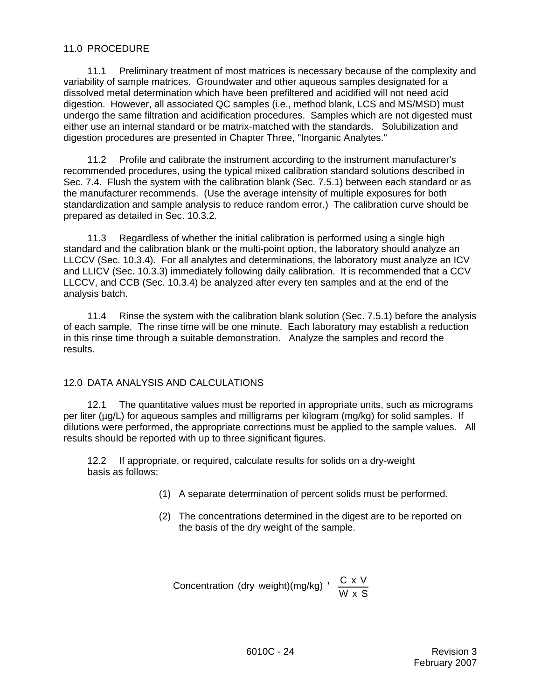### 11.0 PROCEDURE

11.1 Preliminary treatment of most matrices is necessary because of the complexity and variability of sample matrices. Groundwater and other aqueous samples designated for a dissolved metal determination which have been prefiltered and acidified will not need acid digestion. However, all associated QC samples (i.e., method blank, LCS and MS/MSD) must undergo the same filtration and acidification procedures. Samples which are not digested must either use an internal standard or be matrix-matched with the standards. Solubilization and digestion procedures are presented in Chapter Three, "Inorganic Analytes."

11.2 Profile and calibrate the instrument according to the instrument manufacturer's recommended procedures, using the typical mixed calibration standard solutions described in Sec. 7.4. Flush the system with the calibration blank (Sec. 7.5.1) between each standard or as the manufacturer recommends. (Use the average intensity of multiple exposures for both standardization and sample analysis to reduce random error.) The calibration curve should be prepared as detailed in Sec. 10.3.2.

11.3 Regardless of whether the initial calibration is performed using a single high standard and the calibration blank or the multi-point option, the laboratory should analyze an LLCCV (Sec. 10.3.4). For all analytes and determinations, the laboratory must analyze an ICV and LLICV (Sec. 10.3.3) immediately following daily calibration. It is recommended that a CCV LLCCV, and CCB (Sec. 10.3.4) be analyzed after every ten samples and at the end of the analysis batch.

11.4 Rinse the system with the calibration blank solution (Sec. 7.5.1) before the analysis of each sample. The rinse time will be one minute. Each laboratory may establish a reduction in this rinse time through a suitable demonstration. Analyze the samples and record the results.

### 12.0 DATA ANALYSIS AND CALCULATIONS

12.1 The quantitative values must be reported in appropriate units, such as micrograms per liter (µg/L) for aqueous samples and milligrams per kilogram (mg/kg) for solid samples. If dilutions were performed, the appropriate corrections must be applied to the sample values. All results should be reported with up to three significant figures.

12.2 If appropriate, or required, calculate results for solids on a dry-weight basis as follows:

- (1) A separate determination of percent solids must be performed.
- (2) The concentrations determined in the digest are to be reported on the basis of the dry weight of the sample.

Concentration (dry weight)(mg/kg) 
$$
\frac{C \times V}{W \times S}
$$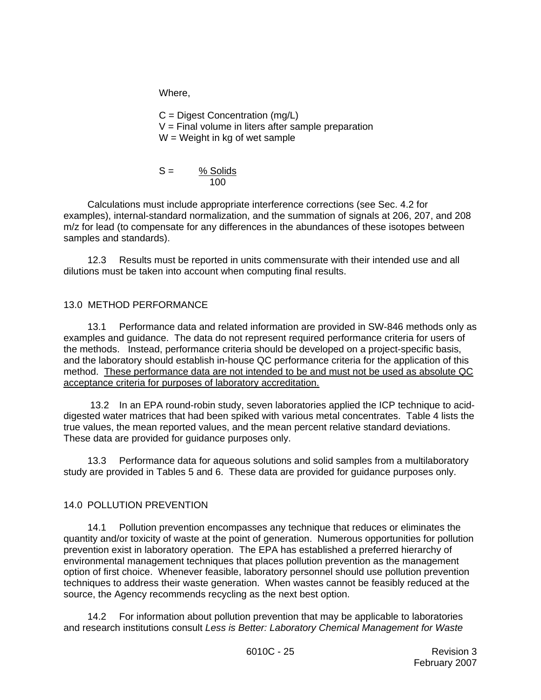Where,

C = Digest Concentration (mg/L)  $V =$  Final volume in liters after sample preparation  $W = Weight$  in kg of wet sample

$$
S = \frac{\% \text{ Solids}}{100}
$$

Calculations must include appropriate interference corrections (see Sec. 4.2 for examples), internal-standard normalization, and the summation of signals at 206, 207, and 208 m/z for lead (to compensate for any differences in the abundances of these isotopes between samples and standards).

12.3 Results must be reported in units commensurate with their intended use and all dilutions must be taken into account when computing final results.

## 13.0 METHOD PERFORMANCE

13.1 Performance data and related information are provided in SW-846 methods only as examples and guidance. The data do not represent required performance criteria for users of the methods. Instead, performance criteria should be developed on a project-specific basis, and the laboratory should establish in-house QC performance criteria for the application of this method. These performance data are not intended to be and must not be used as absolute QC acceptance criteria for purposes of laboratory accreditation.

 13.2 In an EPA round-robin study, seven laboratories applied the ICP technique to aciddigested water matrices that had been spiked with various metal concentrates. Table 4 lists the true values, the mean reported values, and the mean percent relative standard deviations. These data are provided for guidance purposes only.

13.3 Performance data for aqueous solutions and solid samples from a multilaboratory study are provided in Tables 5 and 6. These data are provided for guidance purposes only.

# 14.0 POLLUTION PREVENTION

14.1 Pollution prevention encompasses any technique that reduces or eliminates the quantity and/or toxicity of waste at the point of generation. Numerous opportunities for pollution prevention exist in laboratory operation. The EPA has established a preferred hierarchy of environmental management techniques that places pollution prevention as the management option of first choice. Whenever feasible, laboratory personnel should use pollution prevention techniques to address their waste generation. When wastes cannot be feasibly reduced at the source, the Agency recommends recycling as the next best option.

14.2 For information about pollution prevention that may be applicable to laboratories and research institutions consult *Less is Better: Laboratory Chemical Management for Waste*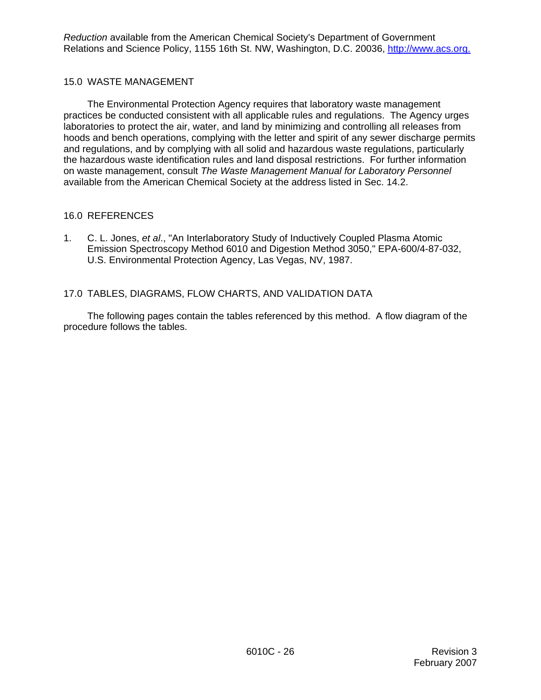*Reduction* available from the American Chemical Society's Department of Government Relations and Science Policy, 1155 16th St. NW, Washington, D.C. 20036, http://www.acs.org.

### 15.0 WASTE MANAGEMENT

The Environmental Protection Agency requires that laboratory waste management practices be conducted consistent with all applicable rules and regulations. The Agency urges laboratories to protect the air, water, and land by minimizing and controlling all releases from hoods and bench operations, complying with the letter and spirit of any sewer discharge permits and regulations, and by complying with all solid and hazardous waste regulations, particularly the hazardous waste identification rules and land disposal restrictions. For further information on waste management, consult *The Waste Management Manual for Laboratory Personnel* available from the American Chemical Society at the address listed in Sec. 14.2.

### 16.0 REFERENCES

1. C. L. Jones, *et al*., "An Interlaboratory Study of Inductively Coupled Plasma Atomic Emission Spectroscopy Method 6010 and Digestion Method 3050," EPA-600/4-87-032, U.S. Environmental Protection Agency, Las Vegas, NV, 1987.

## 17.0 TABLES, DIAGRAMS, FLOW CHARTS, AND VALIDATION DATA

The following pages contain the tables referenced by this method. A flow diagram of the procedure follows the tables.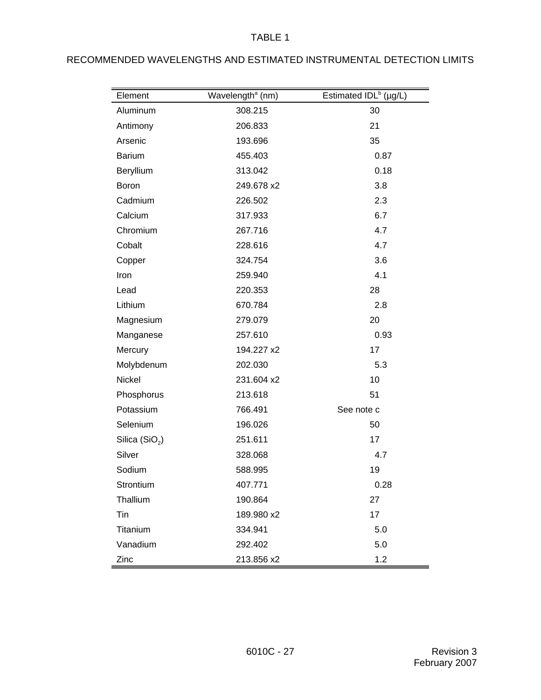| Element         | Wavelength <sup>ª</sup> (nm) | Estimated IDL <sup>b</sup> (µg/L) |
|-----------------|------------------------------|-----------------------------------|
| Aluminum        | 308.215                      | 30                                |
| Antimony        | 206.833                      | 21                                |
| Arsenic         | 193.696                      | 35                                |
| <b>Barium</b>   | 455.403                      | 0.87                              |
| Beryllium       | 313.042                      | 0.18                              |
| Boron           | 249.678 x2                   | 3.8                               |
| Cadmium         | 226.502                      | 2.3                               |
| Calcium         | 317.933                      | 6.7                               |
| Chromium        | 267.716                      | 4.7                               |
| Cobalt          | 228.616                      | 4.7                               |
| Copper          | 324.754                      | 3.6                               |
| Iron            | 259.940                      | 4.1                               |
| Lead            | 220.353                      | 28                                |
| Lithium         | 670.784                      | 2.8                               |
| Magnesium       | 279.079                      | 20                                |
| Manganese       | 257.610                      | 0.93                              |
| Mercury         | 194.227 x2                   | 17                                |
| Molybdenum      | 202.030                      | 5.3                               |
| Nickel          | 231.604 x2                   | 10                                |
| Phosphorus      | 213.618                      | 51                                |
| Potassium       | 766.491                      | See note c                        |
| Selenium        | 196.026                      | 50                                |
| Silica $(SiO2)$ | 251.611                      | 17                                |
| Silver          | 328.068                      | 4.7                               |
| Sodium          | 588.995                      | 19                                |
| Strontium       | 407.771                      | 0.28                              |
| Thallium        | 190.864                      | 27                                |
| Tin             | 189.980 x2                   | 17                                |
| Titanium        | 334.941                      | 5.0                               |
| Vanadium        | 292.402                      | 5.0                               |
| Zinc            | 213.856 x2                   | 1.2                               |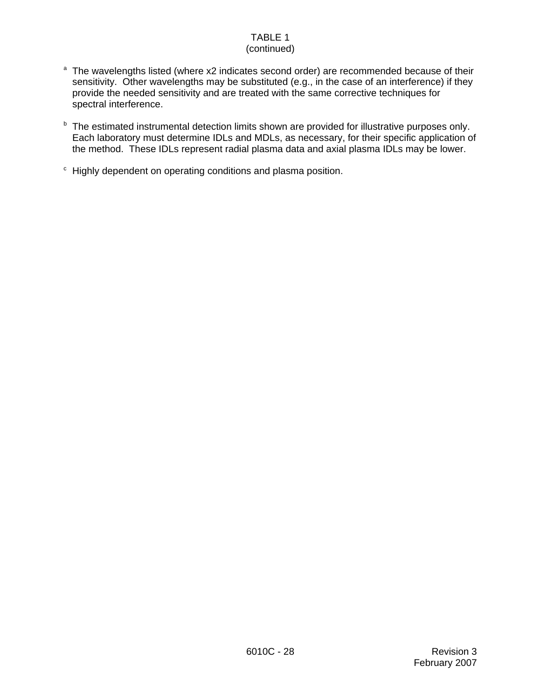#### TABLE 1 (continued)

- <sup>a</sup> The wavelengths listed (where x2 indicates second order) are recommended because of their sensitivity. Other wavelengths may be substituted (e.g., in the case of an interference) if they provide the needed sensitivity and are treated with the same corrective techniques for spectral interference.
- **b** The estimated instrumental detection limits shown are provided for illustrative purposes only. Each laboratory must determine IDLs and MDLs, as necessary, for their specific application of the method. These IDLs represent radial plasma data and axial plasma IDLs may be lower.
- <sup>c</sup> Highly dependent on operating conditions and plasma position.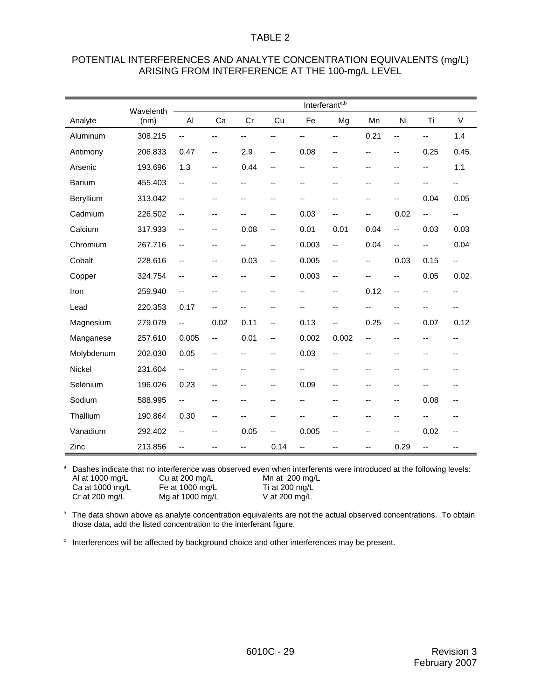| POTENTIAL INTERFERENCES AND ANALYTE CONCENTRATION EQUIVALENTS (mg/L) |
|----------------------------------------------------------------------|
| ARISING FROM INTERFERENCE AT THE 100-mg/L LEVEL                      |

|            | Wavelenth |                          | Interferant <sup>a,b</sup> |      |                |       |                |                          |      |                |                          |
|------------|-----------|--------------------------|----------------------------|------|----------------|-------|----------------|--------------------------|------|----------------|--------------------------|
| Analyte    | (nm)      | Al                       | Ca                         | Cr   | Cu             | Fe    | Mg             | Mn                       | Ni   | Ti             | $\vee$                   |
| Aluminum   | 308.215   | Ξ.                       | --                         | --   | --             | --    | Ξ.             | 0.21                     | Ш,   | Ш,             | 1.4                      |
| Antimony   | 206.833   | 0.47                     | $\overline{\phantom{a}}$   | 2.9  | $-$            | 0.08  | --             | --                       | --   | 0.25           | 0.45                     |
| Arsenic    | 193.696   | 1.3                      | --                         | 0.44 | --             | --    | --             | --                       | --   | --             | 1.1                      |
| Barium     | 455.403   | --                       | --                         | --   | --             | --    | --             | --                       | --   | --             | $\overline{\phantom{a}}$ |
| Beryllium  | 313.042   | --                       | --                         | --   | --             | --    | --             | --                       | --   | 0.04           | 0.05                     |
| Cadmium    | 226.502   | --                       | $-$                        | $-$  | --             | 0.03  | $-$            | $\overline{\phantom{a}}$ | 0.02 | $-$            | $\overline{a}$           |
| Calcium    | 317.933   | --                       | --                         | 0.08 | --             | 0.01  | 0.01           | 0.04                     | --   | 0.03           | 0.03                     |
| Chromium   | 267.716   | --                       | --                         | --   | --             | 0.003 | $\overline{a}$ | 0.04                     | --   | --             | 0.04                     |
| Cobalt     | 228.616   | --                       | $\overline{\phantom{a}}$   | 0.03 | --             | 0.005 | $-$            | $\overline{\phantom{a}}$ | 0.03 | 0.15           | $\overline{\phantom{a}}$ |
| Copper     | 324.754   | --                       | --                         | --   | --             | 0.003 | $\overline{a}$ | --                       | --   | 0.05           | 0.02                     |
| Iron       | 259.940   | $\overline{\phantom{a}}$ | --                         | --   | --             | --    | --             | 0.12                     | --   | --             | --                       |
| Lead       | 220.353   | 0.17                     | --                         | $-$  | --             | --    | --             | --                       | --   | --             | --                       |
| Magnesium  | 279.079   | --                       | 0.02                       | 0.11 | --             | 0.13  | --             | 0.25                     | --   | 0.07           | 0.12                     |
| Manganese  | 257.610   | 0.005                    | $\overline{\phantom{a}}$   | 0.01 | --             | 0.002 | 0.002          | $\overline{a}$           | --   | --             | --                       |
| Molybdenum | 202.030   | 0.05                     | $-$                        | $-$  | $\overline{a}$ | 0.03  | $-$            | --                       | $-$  | $\overline{a}$ | --                       |
| Nickel     | 231.604   | --                       | --                         | --   | --             |       | --             | --                       | --   | --             | --                       |
| Selenium   | 196.026   | 0.23                     | --                         | --   | --             | 0.09  | --             | --                       | --   | --             |                          |
| Sodium     | 588.995   | $\overline{a}$           | --                         | --   | --             | --    | --             | --                       | --   | 0.08           | $-$                      |
| Thallium   | 190.864   | 0.30                     | --                         | $-$  | --             | --    | --             | --                       | --   | --             | --                       |
| Vanadium   | 292.402   | --                       | --                         | 0.05 | --             | 0.005 | --             | --                       | --   | 0.02           | --                       |
| Zinc       | 213.856   | --                       | --                         | --   | 0.14           | --    | --             | --                       | 0.29 | --             | --                       |

<sup>a</sup> Dashes indicate that no interference was observed even when interferents were introduced at the following levels:<br>Al at 1000 mg/L Cu at 200 mg/L Mn at 200 mg/L Al at 1000 mg/L Cu at 200 mg/L Mn at 200 mg/L<br>Ca at 1000 mg/L Fe at 1000 mg/L Ti at 200 mg/L

Ca at 1000 mg/L Fe at 1000 mg/L Ti at 200 mg/L<br>Cr at 200 mg/L Mg at 1000 mg/L V at 200 mg/L  $Mg$  at 1000 mg/L

**b** The data shown above as analyte concentration equivalents are not the actual observed concentrations. To obtain those data, add the listed concentration to the interferant figure.

c Interferences will be affected by background choice and other interferences may be present.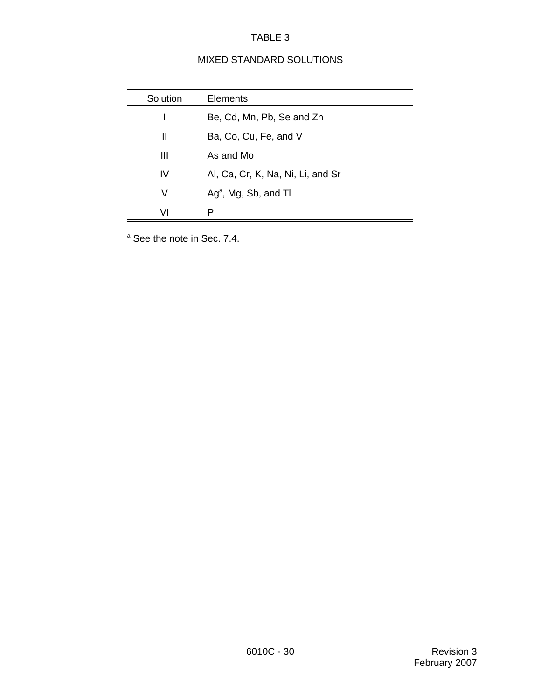# MIXED STANDARD SOLUTIONS

| Solution | Elements                          |
|----------|-----------------------------------|
|          | Be, Cd, Mn, Pb, Se and Zn         |
| Ш        | Ba, Co, Cu, Fe, and V             |
| Ш        | As and Mo                         |
| IV       | Al, Ca, Cr, K, Na, Ni, Li, and Sr |
| V        | $Aga$ , Mg, Sb, and Tl            |
| VI       | P                                 |

<sup>a</sup> See the note in Sec. 7.4.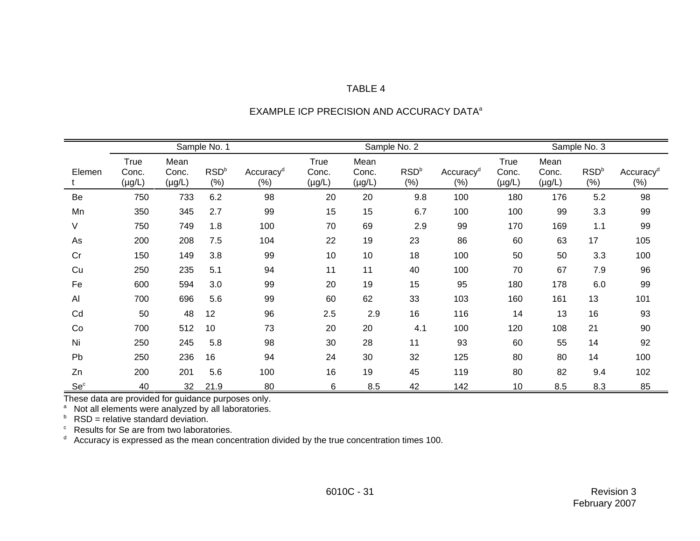|                 | Sample No. 1                 |                              |                          |                                  | Sample No. 2                        |                              |                            |                                 | Sample No. 3                        |                              |                            |                                 |
|-----------------|------------------------------|------------------------------|--------------------------|----------------------------------|-------------------------------------|------------------------------|----------------------------|---------------------------------|-------------------------------------|------------------------------|----------------------------|---------------------------------|
| Elemen          | True<br>Conc.<br>$(\mu g/L)$ | Mean<br>Conc.<br>$(\mu g/L)$ | RSD <sup>b</sup><br>(% ) | Accuracy <sup>d</sup><br>$(\% )$ | <b>True</b><br>Conc.<br>$(\mu g/L)$ | Mean<br>Conc.<br>$(\mu g/L)$ | RSD <sup>b</sup><br>$(\%)$ | Accuracy <sup>d</sup><br>$(\%)$ | <b>True</b><br>Conc.<br>$(\mu g/L)$ | Mean<br>Conc.<br>$(\mu g/L)$ | RSD <sup>b</sup><br>$(\%)$ | Accuracy <sup>d</sup><br>$(\%)$ |
| Be              | 750                          | 733                          | 6.2                      | 98                               | 20                                  | 20                           | 9.8                        | 100                             | 180                                 | 176                          | 5.2                        | 98                              |
| Mn              | 350                          | 345                          | 2.7                      | 99                               | 15                                  | 15                           | 6.7                        | 100                             | 100                                 | 99                           | 3.3                        | 99                              |
| V               | 750                          | 749                          | 1.8                      | 100                              | 70                                  | 69                           | 2.9                        | 99                              | 170                                 | 169                          | 1.1                        | 99                              |
| As              | 200                          | 208                          | 7.5                      | 104                              | 22                                  | 19                           | 23                         | 86                              | 60                                  | 63                           | 17                         | 105                             |
| Cr              | 150                          | 149                          | 3.8                      | 99                               | 10                                  | 10                           | 18                         | 100                             | 50                                  | 50                           | 3.3                        | 100                             |
| Cu              | 250                          | 235                          | 5.1                      | 94                               | 11                                  | 11                           | 40                         | 100                             | 70                                  | 67                           | 7.9                        | 96                              |
| Fe              | 600                          | 594                          | 3.0                      | 99                               | 20                                  | 19                           | 15                         | 95                              | 180                                 | 178                          | 6.0                        | 99                              |
| Al              | 700                          | 696                          | 5.6                      | 99                               | 60                                  | 62                           | 33                         | 103                             | 160                                 | 161                          | 13                         | 101                             |
| Cd              | 50                           | 48                           | 12                       | 96                               | 2.5                                 | 2.9                          | 16                         | 116                             | 14                                  | 13                           | 16                         | 93                              |
| Co              | 700                          | 512                          | 10                       | 73                               | 20                                  | 20                           | 4.1                        | 100                             | 120                                 | 108                          | 21                         | 90                              |
| Ni              | 250                          | 245                          | 5.8                      | 98                               | 30                                  | 28                           | 11                         | 93                              | 60                                  | 55                           | 14                         | 92                              |
| Pb              | 250                          | 236                          | 16                       | 94                               | 24                                  | 30                           | 32                         | 125                             | 80                                  | 80                           | 14                         | 100                             |
| Zn              | 200                          | 201                          | 5.6                      | 100                              | 16                                  | 19                           | 45                         | 119                             | 80                                  | 82                           | 9.4                        | 102                             |
| Se <sup>c</sup> | 40                           | 32                           | 21.9                     | 80                               | 6                                   | 8.5                          | 42                         | 142                             | 10                                  | 8.5                          | 8.3                        | 85                              |

# EXAMPLE ICP PRECISION AND ACCURACY DATA<sup>a</sup>

These data are provided for guidance purposes only.<br>ª Not all elements were analyzed by all laboratories.<br><sup>b</sup> RSD = relative standard deviation.

 $\degree$  Results for Se are from two laboratories.

 $d$  Accuracy is expressed as the mean concentration divided by the true concentration times 100.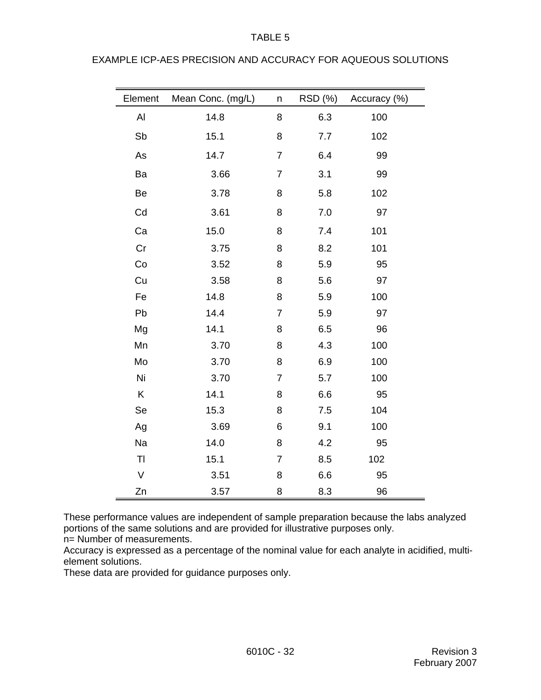| Element | Mean Conc. (mg/L) | n              | RSD (%) | Accuracy (%) |
|---------|-------------------|----------------|---------|--------------|
| AI      | 14.8              | 8              | 6.3     | 100          |
| Sb      | 15.1              | 8              | 7.7     | 102          |
| As      | 14.7              | $\overline{7}$ | 6.4     | 99           |
| Ba      | 3.66              | $\overline{7}$ | 3.1     | 99           |
| Be      | 3.78              | 8              | 5.8     | 102          |
| Cd      | 3.61              | 8              | 7.0     | 97           |
| Ca      | 15.0              | 8              | 7.4     | 101          |
| Cr      | 3.75              | 8              | 8.2     | 101          |
| Co      | 3.52              | 8              | 5.9     | 95           |
| Cu      | 3.58              | 8              | 5.6     | 97           |
| Fe      | 14.8              | 8              | 5.9     | 100          |
| Pb      | 14.4              | $\overline{7}$ | 5.9     | 97           |
| Mg      | 14.1              | 8              | 6.5     | 96           |
| Mn      | 3.70              | 8              | 4.3     | 100          |
| Mo      | 3.70              | 8              | 6.9     | 100          |
| Ni      | 3.70              | $\overline{7}$ | 5.7     | 100          |
| Κ       | 14.1              | 8              | 6.6     | 95           |
| Se      | 15.3              | 8              | 7.5     | 104          |
| Ag      | 3.69              | 6              | 9.1     | 100          |
| Na      | 14.0              | 8              | 4.2     | 95           |
| TI      | 15.1              | $\overline{7}$ | 8.5     | 102          |
| $\vee$  | 3.51              | 8              | 6.6     | 95           |
| Zn      | 3.57              | 8              | 8.3     | 96           |

EXAMPLE ICP-AES PRECISION AND ACCURACY FOR AQUEOUS SOLUTIONS

These performance values are independent of sample preparation because the labs analyzed portions of the same solutions and are provided for illustrative purposes only. n= Number of measurements.

Accuracy is expressed as a percentage of the nominal value for each analyte in acidified, multielement solutions.

These data are provided for guidance purposes only.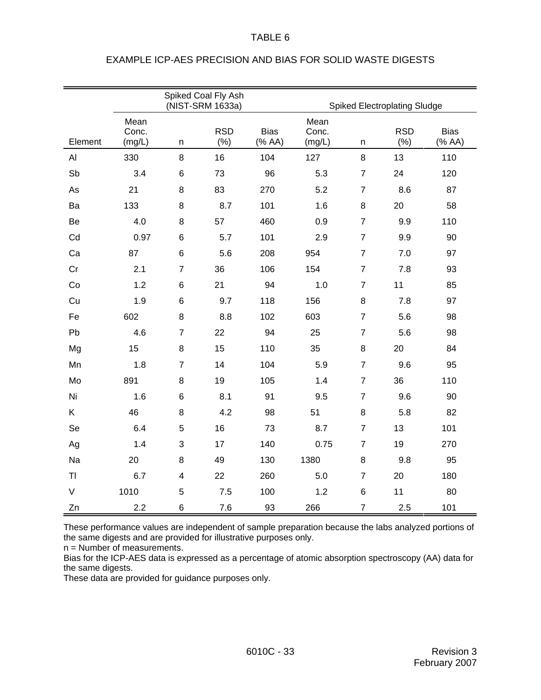|                |                         |                | Spiked Coal Fly Ash<br>(NIST-SRM 1633a) |                       | Spiked Electroplating Sludge |                |                   |                       |
|----------------|-------------------------|----------------|-----------------------------------------|-----------------------|------------------------------|----------------|-------------------|-----------------------|
|                |                         |                |                                         |                       |                              |                |                   |                       |
| Element        | Mean<br>Conc.<br>(mg/L) | n              | <b>RSD</b><br>(% )                      | <b>Bias</b><br>(% AA) | Mean<br>Conc.<br>(mg/L)      | n              | <b>RSD</b><br>(%) | <b>Bias</b><br>(% AA) |
| AI             | 330                     | 8              | 16                                      | 104                   | 127                          | 8              | 13                | 110                   |
| Sb             | 3.4                     | 6              | 73                                      | 96                    | 5.3                          | $\overline{7}$ | 24                | 120                   |
| As             | 21                      | 8              | 83                                      | 270                   | 5.2                          | $\overline{7}$ | 8.6               | 87                    |
| Ba             | 133                     | 8              | 8.7                                     | 101                   | 1.6                          | 8              | 20                | 58                    |
| Be             | 4.0                     | 8              | 57                                      | 460                   | 0.9                          | $\overline{7}$ | 9.9               | 110                   |
| Cd             | 0.97                    | 6              | 5.7                                     | 101                   | 2.9                          | $\overline{7}$ | 9.9               | 90                    |
| Ca             | 87                      | 6              | 5.6                                     | 208                   | 954                          | $\overline{7}$ | $7.0$             | 97                    |
| Cr             | 2.1                     | $\overline{7}$ | 36                                      | 106                   | 154                          | $\overline{7}$ | 7.8               | 93                    |
| Co             | 1.2                     | 6              | 21                                      | 94                    | 1.0                          | $\overline{7}$ | 11                | 85                    |
| Cu             | 1.9                     | 6              | 9.7                                     | 118                   | 156                          | 8              | 7.8               | 97                    |
| Fe             | 602                     | 8              | 8.8                                     | 102                   | 603                          | $\overline{7}$ | 5.6               | 98                    |
| Pb             | 4.6                     | $\overline{7}$ | 22                                      | 94                    | 25                           | $\overline{7}$ | 5.6               | 98                    |
| Mg             | 15                      | 8              | 15                                      | 110                   | 35                           | 8              | 20                | 84                    |
| Mn             | 1.8                     | $\overline{7}$ | 14                                      | 104                   | 5.9                          | $\overline{7}$ | 9.6               | 95                    |
| Mo             | 891                     | 8              | 19                                      | 105                   | 1.4                          | $\overline{7}$ | 36                | 110                   |
| Ni             | 1.6                     | 6              | 8.1                                     | 91                    | 9.5                          | $\overline{7}$ | 9.6               | 90                    |
| K              | 46                      | 8              | 4.2                                     | 98                    | 51                           | 8              | 5.8               | 82                    |
| Se             | 6.4                     | 5              | 16                                      | 73                    | 8.7                          | $\overline{7}$ | 13                | 101                   |
| Ag             | 1.4                     | 3              | 17                                      | 140                   | 0.75                         | $\overline{7}$ | 19                | 270                   |
| Na             | 20                      | 8              | 49                                      | 130                   | 1380                         | 8              | 9.8               | 95                    |
| T <sub>l</sub> | 6.7                     | 4              | 22                                      | 260                   | 5.0                          | $\overline{7}$ | 20                | 180                   |
| $\vee$         | 1010                    | 5              | 7.5                                     | 100                   | 1.2                          | $\,6$          | 11                | 80                    |
| Zn             | 2.2                     | 6              | 7.6                                     | 93                    | 266                          | $\overline{7}$ | 2.5               | 101                   |

## EXAMPLE ICP-AES PRECISION AND BIAS FOR SOLID WASTE DIGESTS

These performance values are independent of sample preparation because the labs analyzed portions of the same digests and are provided for illustrative purposes only.

n = Number of measurements.

Bias for the ICP-AES data is expressed as a percentage of atomic absorption spectroscopy (AA) data for the same digests.

These data are provided for guidance purposes only.